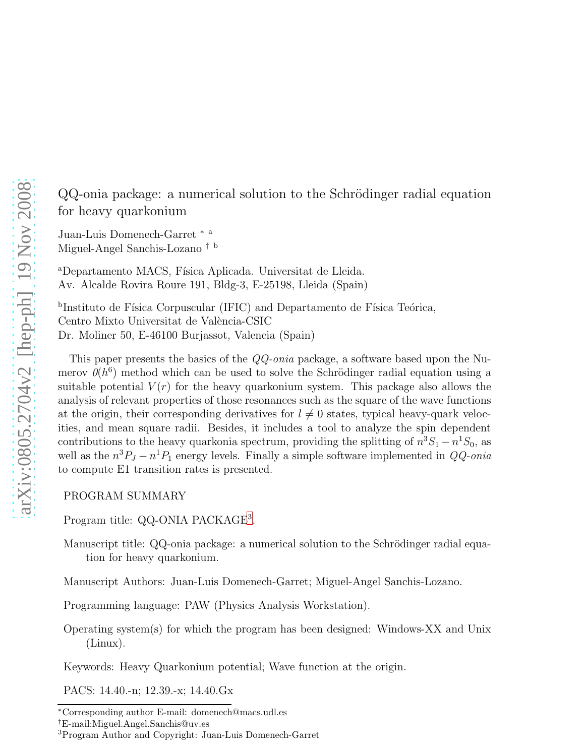QQ-onia package: a numerical solution to the Schrödinger radial equation for heavy quarkonium

Juan-Luis Domenech-Garret <sup>∗</sup> <sup>a</sup> Miguel-Angel Sanchis-Lozano † <sup>b</sup>

<sup>a</sup>Departamento MACS, Física Aplicada. Universitat de Lleida. Av. Alcalde Rovira Roure 191, Bldg-3, E-25198, Lleida (Spain)

<sup>b</sup>Instituto de Física Corpuscular (IFIC) and Departamento de Física Teórica, Centro Mixto Universitat de València-CSIC Dr. Moliner 50, E-46100 Burjassot, Valencia (Spain)

This paper presents the basics of the QQ-onia package, a software based upon the Numerov  $\theta(h^6)$  method which can be used to solve the Schrödinger radial equation using a suitable potential  $V(r)$  for the heavy quarkonium system. This package also allows the analysis of relevant properties of those resonances such as the square of the wave functions at the origin, their corresponding derivatives for  $l \neq 0$  states, typical heavy-quark velocities, and mean square radii. Besides, it includes a tool to analyze the spin dependent contributions to the heavy quarkonia spectrum, providing the splitting of  $n^3S_1 - n^1S_0$ , as well as the  $n^3P_J - n^1P_1$  energy levels. Finally a simple software implemented in  $QQ\text{-}onia$ to compute E1 transition rates is presented.

PROGRAM SUMMARY

Program title: QQ-ONIA PACKAGE<sup>[3](#page-0-0)</sup>.

Manuscript title: QQ-onia package: a numerical solution to the Schrödinger radial equation for heavy quarkonium.

Manuscript Authors: Juan-Luis Domenech-Garret; Miguel-Angel Sanchis-Lozano.

Programming language: PAW (Physics Analysis Workstation).

Operating system(s) for which the program has been designed: Windows-XX and Unix (Linux).

Keywords: Heavy Quarkonium potential; Wave function at the origin.

PACS: 14.40.-n; 12.39.-x; 14.40.Gx

<sup>∗</sup>Corresponding author E-mail: domenech@macs.udl.es

<sup>†</sup>E-mail:Miguel.Angel.Sanchis@uv.es

<span id="page-0-0"></span><sup>3</sup>Program Author and Copyright: Juan-Luis Domenech-Garret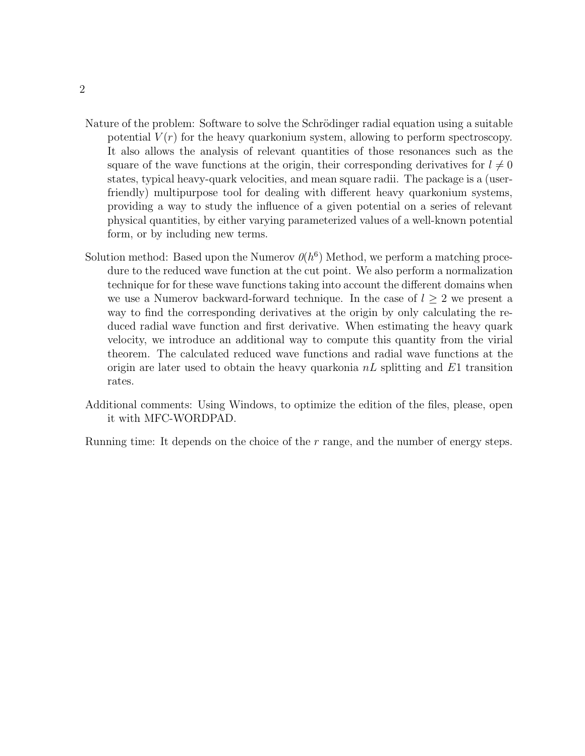- Nature of the problem: Software to solve the Schrödinger radial equation using a suitable potential  $V(r)$  for the heavy quarkonium system, allowing to perform spectroscopy. It also allows the analysis of relevant quantities of those resonances such as the square of the wave functions at the origin, their corresponding derivatives for  $l \neq 0$ states, typical heavy-quark velocities, and mean square radii. The package is a (userfriendly) multipurpose tool for dealing with different heavy quarkonium systems, providing a way to study the influence of a given potential on a series of relevant physical quantities, by either varying parameterized values of a well-known potential form, or by including new terms.
- Solution method: Based upon the Numerov  $\theta(h^6)$  Method, we perform a matching procedure to the reduced wave function at the cut point. We also perform a normalization technique for for these wave functions taking into account the different domains when we use a Numerov backward-forward technique. In the case of  $l \geq 2$  we present a way to find the corresponding derivatives at the origin by only calculating the reduced radial wave function and first derivative. When estimating the heavy quark velocity, we introduce an additional way to compute this quantity from the virial theorem. The calculated reduced wave functions and radial wave functions at the origin are later used to obtain the heavy quarkonia  $nL$  splitting and  $E1$  transition rates.
- Additional comments: Using Windows, to optimize the edition of the files, please, open it with MFC-WORDPAD.

Running time: It depends on the choice of the r range, and the number of energy steps.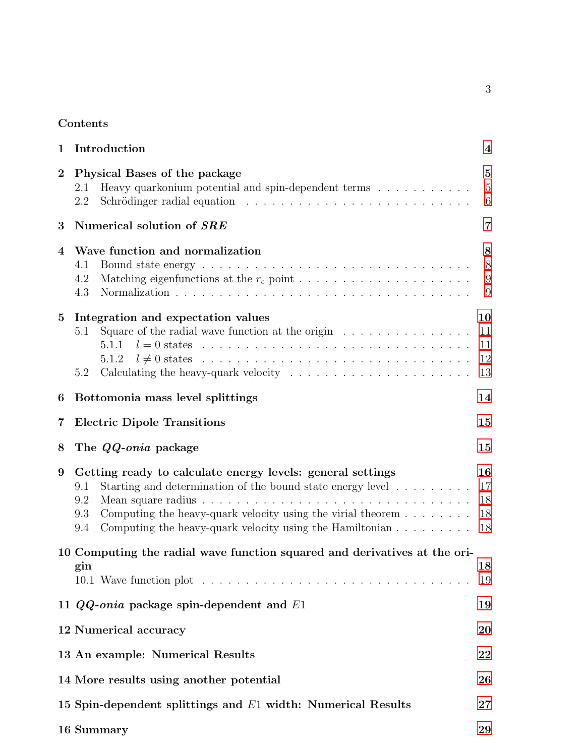# Contents

| 1              | Introduction                                                                                                                                                                                                                                                                                                                             | $\overline{\mathbf{4}}$               |
|----------------|------------------------------------------------------------------------------------------------------------------------------------------------------------------------------------------------------------------------------------------------------------------------------------------------------------------------------------------|---------------------------------------|
| $\overline{2}$ | Physical Bases of the package<br>Heavy quarkonium potential and spin-dependent terms<br>$\hfill\ldots\ldots\ldots\ldots\ldots$<br>2.1<br>Schrödinger radial equation $\ldots \ldots \ldots \ldots \ldots \ldots \ldots \ldots$<br>2.2                                                                                                    | $\overline{5}$<br>$\overline{5}$<br>6 |
| 3              | Numerical solution of SRE                                                                                                                                                                                                                                                                                                                | 7                                     |
| 4              | Wave function and normalization<br>4.1<br>Matching eigenfunctions at the $r_c$ point $\ldots \ldots \ldots \ldots \ldots \ldots \ldots$<br>4.2<br>4.3                                                                                                                                                                                    | 8<br>8<br>9<br>9                      |
| $\bf{5}$       | Integration and expectation values<br>Square of the radial wave function at the origin $\ldots \ldots \ldots \ldots \ldots$<br>5.1<br>5.1.1<br>5.1.2<br>Calculating the heavy-quark velocity $\dots \dots \dots \dots \dots \dots \dots \dots$<br>5.2                                                                                    | 10<br>11<br>11<br>12<br>13            |
| 6              | Bottomonia mass level splittings                                                                                                                                                                                                                                                                                                         | 14                                    |
| 7              | <b>Electric Dipole Transitions</b>                                                                                                                                                                                                                                                                                                       | 15                                    |
| 8              | The QQ-onia package                                                                                                                                                                                                                                                                                                                      | 15                                    |
| 9              | Getting ready to calculate energy levels: general settings<br>Starting and determination of the bound state energy level $\dots \dots \dots$<br>9.1<br>9.2<br>Computing the heavy-quark velocity using the virial theorem $\dots \dots$<br>9.3<br>Computing the heavy-quark velocity using the Hamiltonian $\ldots \ldots \ldots$<br>9.4 | 16<br>17<br>18<br>18<br>18            |
|                | 10 Computing the radial wave function squared and derivatives at the ori-<br>gin                                                                                                                                                                                                                                                         | 18<br>19                              |
|                | 11 $QQ$ -onia package spin-dependent and $E1$                                                                                                                                                                                                                                                                                            | 19                                    |
|                | 12 Numerical accuracy                                                                                                                                                                                                                                                                                                                    | 20                                    |
|                | 13 An example: Numerical Results                                                                                                                                                                                                                                                                                                         | 22                                    |
|                | 14 More results using another potential                                                                                                                                                                                                                                                                                                  | 26                                    |
|                | 15 Spin-dependent splittings and $E1$ width: Numerical Results                                                                                                                                                                                                                                                                           | $27\,$                                |
|                | 16 Summary                                                                                                                                                                                                                                                                                                                               | 29                                    |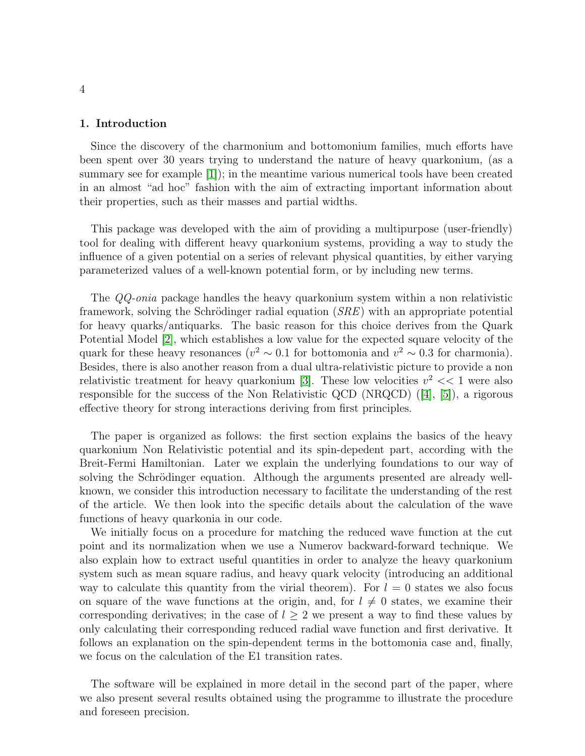#### <span id="page-3-0"></span>1. Introduction

Since the discovery of the charmonium and bottomonium families, much efforts have been spent over 30 years trying to understand the nature of heavy quarkonium, (as a summary see for example [\[1\]](#page-29-0)); in the meantime various numerical tools have been created in an almost "ad hoc" fashion with the aim of extracting important information about their properties, such as their masses and partial widths.

This package was developed with the aim of providing a multipurpose (user-friendly) tool for dealing with different heavy quarkonium systems, providing a way to study the influence of a given potential on a series of relevant physical quantities, by either varying parameterized values of a well-known potential form, or by including new terms.

The QQ-onia package handles the heavy quarkonium system within a non relativistic framework, solving the Schrödinger radial equation  $(SRE)$  with an appropriate potential for heavy quarks/antiquarks. The basic reason for this choice derives from the Quark Potential Model [\[2\]](#page-29-1), which establishes a low value for the expected square velocity of the quark for these heavy resonances ( $v^2 \sim 0.1$  for bottomonia and  $v^2 \sim 0.3$  for charmonia). Besides, there is also another reason from a dual ultra-relativistic picture to provide a non relativistic treatment for heavy quarkonium [\[3\]](#page-29-2). These low velocities  $v^2 \ll 1$  were also responsible for the success of the Non Relativistic QCD (NRQCD)([\[4\]](#page-29-3), [\[5\]](#page-29-4)), a rigorous effective theory for strong interactions deriving from first principles.

The paper is organized as follows: the first section explains the basics of the heavy quarkonium Non Relativistic potential and its spin-depedent part, according with the Breit-Fermi Hamiltonian. Later we explain the underlying foundations to our way of solving the Schrödinger equation. Although the arguments presented are already wellknown, we consider this introduction necessary to facilitate the understanding of the rest of the article. We then look into the specific details about the calculation of the wave functions of heavy quarkonia in our code.

We initially focus on a procedure for matching the reduced wave function at the cut point and its normalization when we use a Numerov backward-forward technique. We also explain how to extract useful quantities in order to analyze the heavy quarkonium system such as mean square radius, and heavy quark velocity (introducing an additional way to calculate this quantity from the virial theorem). For  $l = 0$  states we also focus on square of the wave functions at the origin, and, for  $l \neq 0$  states, we examine their corresponding derivatives; in the case of  $l \geq 2$  we present a way to find these values by only calculating their corresponding reduced radial wave function and first derivative. It follows an explanation on the spin-dependent terms in the bottomonia case and, finally, we focus on the calculation of the E1 transition rates.

The software will be explained in more detail in the second part of the paper, where we also present several results obtained using the programme to illustrate the procedure and foreseen precision.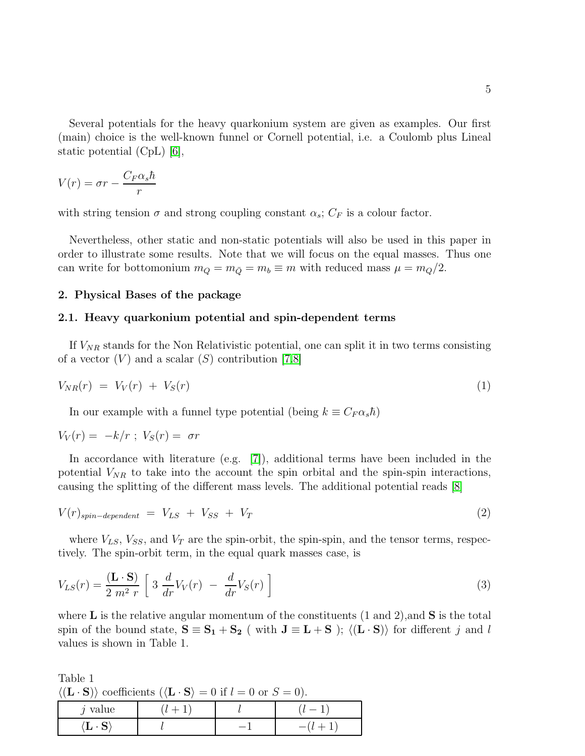Several potentials for the heavy quarkonium system are given as examples. Our first (main) choice is the well-known funnel or Cornell potential, i.e. a Coulomb plus Lineal static potential (CpL) [\[6\]](#page-29-5),

$$
V(r) = \sigma r - \frac{C_F \alpha_s \hbar}{r}
$$

with string tension  $\sigma$  and strong coupling constant  $\alpha_s$ ;  $C_F$  is a colour factor.

Nevertheless, other static and non-static potentials will also be used in this paper in order to illustrate some results. Note that we will focus on the equal masses. Thus one can write for bottomonium  $m_Q = m_{\overline{Q}} = m_b \equiv m$  with reduced mass  $\mu = m_Q/2$ .

### <span id="page-4-1"></span><span id="page-4-0"></span>2. Physical Bases of the package

### 2.1. Heavy quarkonium potential and spin-dependent terms

If  $V_{NR}$  stands for the Non Relativistic potential, one can split it in two terms consisting of a vector  $(V)$  and a scalar  $(S)$  contribution [\[7,](#page-29-6)[8\]](#page-29-7)

$$
V_{NR}(r) = V_V(r) + V_S(r) \tag{1}
$$

In our example with a funnel type potential (being  $k \equiv C_F \alpha_s \hbar$ )

$$
V_V(r) = -k/r \; ; \; V_S(r) = \sigma r
$$

In accordance with literature (e.g. [\[7\]](#page-29-6)), additional terms have been included in the potential  $V_{NR}$  to take into the account the spin orbital and the spin-spin interactions, causing the splitting of the different mass levels. The additional potential reads [\[8\]](#page-29-7)

$$
V(r)_{spin-dependent} = V_{LS} + V_{SS} + V_T
$$
\n(2)

where  $V_{LS}$ ,  $V_{SS}$ , and  $V_T$  are the spin-orbit, the spin-spin, and the tensor terms, respectively. The spin-orbit term, in the equal quark masses case, is

$$
V_{LS}(r) = \frac{(\mathbf{L} \cdot \mathbf{S})}{2 \ m^2 \ r} \left[ 3 \ \frac{d}{dr} V_V(r) - \frac{d}{dr} V_S(r) \right] \tag{3}
$$

where **L** is the relative angular momentum of the constituents  $(1 \text{ and } 2)$ , and **S** is the total spin of the bound state,  $S \equiv S_1 + S_2$  (with  $J \equiv L + S$ );  $\langle (L \cdot S) \rangle$  for different j and l values is shown in Table 1.

Table 1  $\langle (\mathbf{L} \cdot \mathbf{S}) \rangle$  coefficients  $(\langle \mathbf{L} \cdot \mathbf{S} \rangle = 0$  if  $l = 0$  or  $S = 0$ ).

| value<br>., |  |                                |
|-------------|--|--------------------------------|
| ்ப<br>ັ     |  | $\qquad \qquad \longleftarrow$ |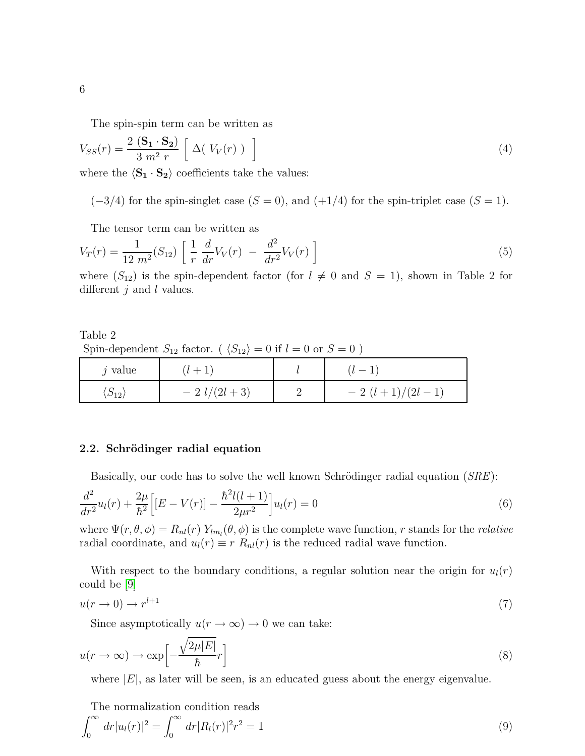The spin-spin term can be written as

$$
V_{SS}(r) = \frac{2\left(\mathbf{S_1} \cdot \mathbf{S_2}\right)}{3\ m^2\ r} \left[\ \Delta\left(V_V(r)\right)\ \right] \tag{4}
$$

where the  $\langle S_1 \cdot S_2 \rangle$  coefficients take the values:

 $(-3/4)$  for the spin-singlet case  $(S = 0)$ , and  $(+1/4)$  for the spin-triplet case  $(S = 1)$ .

The tensor term can be written as

$$
V_T(r) = \frac{1}{12 \ m^2} (S_{12}) \left[ \frac{1}{r} \frac{d}{dr} V_V(r) - \frac{d^2}{dr^2} V_V(r) \right]
$$
 (5)

where  $(S_{12})$  is the spin-dependent factor (for  $l \neq 0$  and  $S = 1$ ), shown in Table 2 for different  $j$  and  $l$  values.

Table 2 Spin-dependent  $S_{12}$  factor. ( $\langle S_{12} \rangle = 0$  if  $l = 0$  or  $S = 0$ )

| $i$ value                | $(l + 1)$       | $(l-1)$          |
|--------------------------|-----------------|------------------|
| $\langle S_{12} \rangle$ | $-2$ $l/(2l+3)$ | $-2(l+1)/(2l-1)$ |

### <span id="page-5-0"></span>2.2. Schrödinger radial equation

Basically, our code has to solve the well known Schrödinger radial equation  $(SRE)$ :

$$
\frac{d^2}{dr^2}u_l(r) + \frac{2\mu}{\hbar^2} \Big[ [E - V(r)] - \frac{\hbar^2 l(l+1)}{2\mu r^2} \Big] u_l(r) = 0 \tag{6}
$$

where  $\Psi(r, \theta, \phi) = R_{nl}(r) Y_{lm_l}(\theta, \phi)$  is the complete wave function, r stands for the relative radial coordinate, and  $u_l(r) \equiv r R_{nl}(r)$  is the reduced radial wave function.

With respect to the boundary conditions, a regular solution near the origin for  $u_l(r)$ could be [\[9\]](#page-29-8)

$$
u(r \to 0) \to r^{l+1} \tag{7}
$$

Since asymptotically  $u(r \to \infty) \to 0$  we can take:

$$
u(r \to \infty) \to \exp\left[-\frac{\sqrt{2\mu|E|}}{\hbar}r\right]
$$
\n(8)

where  $|E|$ , as later will be seen, is an educated guess about the energy eigenvalue.

The normalization condition reads

$$
\int_0^\infty dr |u_l(r)|^2 = \int_0^\infty dr |R_l(r)|^2 r^2 = 1
$$
\n(9)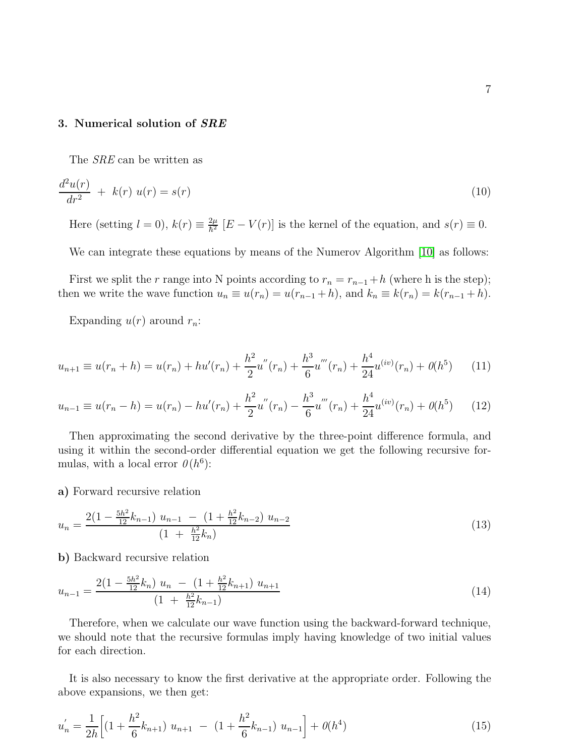### <span id="page-6-0"></span>3. Numerical solution of SRE

The SRE can be written as

$$
\frac{d^2u(r)}{dr^2} + k(r) u(r) = s(r)
$$
\n(10)

Here (setting  $l = 0$ ),  $k(r) \equiv \frac{2\mu}{\hbar^2}$  $\frac{2\mu}{\hbar^2}$   $[E - V(r)]$  is the kernel of the equation, and  $s(r) \equiv 0$ .

We can integrate these equations by means of the Numerov Algorithm [\[10\]](#page-29-9) as follows:

First we split the r range into N points according to  $r_n = r_{n-1} + h$  (where h is the step); then we write the wave function  $u_n \equiv u(r_n) = u(r_{n-1} + h)$ , and  $k_n \equiv k(r_n) = k(r_{n-1} + h)$ .

Expanding  $u(r)$  around  $r_n$ :

$$
u_{n+1} \equiv u(r_n + h) = u(r_n) + hu'(r_n) + \frac{h^2}{2}u''(r_n) + \frac{h^3}{6}u'''(r_n) + \frac{h^4}{24}u^{(iv)}(r_n) + \theta(h^5)
$$
 (11)

$$
u_{n-1} \equiv u(r_n - h) = u(r_n) - hu'(r_n) + \frac{h^2}{2}u''(r_n) - \frac{h^3}{6}u'''(r_n) + \frac{h^4}{24}u^{(iv)}(r_n) + \theta(h^5)
$$
(12)

Then approximating the second derivative by the three-point difference formula, and using it within the second-order differential equation we get the following recursive formulas, with a local error  $\theta(h^6)$ :

a) Forward recursive relation

$$
u_n = \frac{2\left(1 - \frac{5h^2}{12}k_{n-1}\right)u_{n-1} - \left(1 + \frac{h^2}{12}k_{n-2}\right)u_{n-2}}{\left(1 + \frac{h^2}{12}k_n\right)}\tag{13}
$$

b) Backward recursive relation

$$
u_{n-1} = \frac{2\left(1 - \frac{5h^2}{12}k_n\right)u_n - \left(1 + \frac{h^2}{12}k_{n+1}\right)u_{n+1}}{\left(1 + \frac{h^2}{12}k_{n-1}\right)}
$$
(14)

Therefore, when we calculate our wave function using the backward-forward technique, we should note that the recursive formulas imply having knowledge of two initial values for each direction.

It is also necessary to know the first derivative at the appropriate order. Following the above expansions, we then get:

$$
u'_{n} = \frac{1}{2h} \left[ \left( 1 + \frac{h^{2}}{6} k_{n+1} \right) u_{n+1} - \left( 1 + \frac{h^{2}}{6} k_{n-1} \right) u_{n-1} \right] + \theta(h^{4}) \tag{15}
$$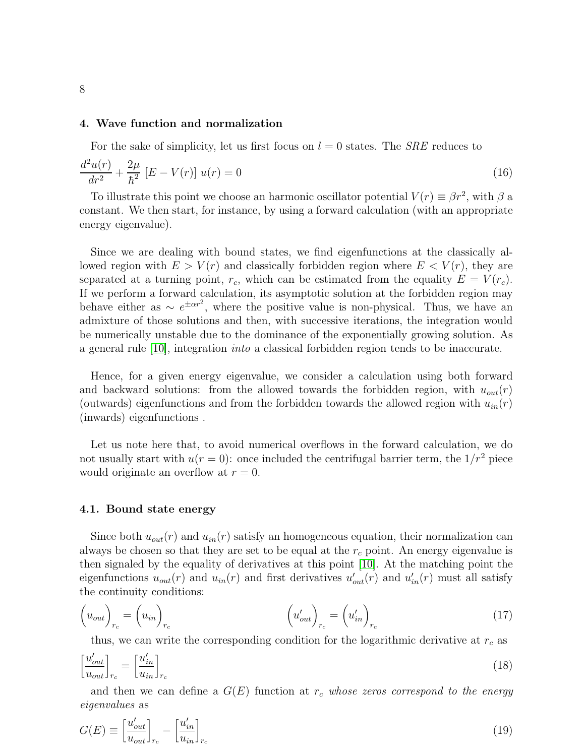### <span id="page-7-0"></span>4. Wave function and normalization

For the sake of simplicity, let us first focus on  $l = 0$  states. The *SRE* reduces to

$$
\frac{d^2u(r)}{dr^2} + \frac{2\mu}{\hbar^2} \left[ E - V(r) \right] u(r) = 0 \tag{16}
$$

To illustrate this point we choose an harmonic oscillator potential  $V(r) \equiv \beta r^2$ , with  $\beta$  a constant. We then start, for instance, by using a forward calculation (with an appropriate energy eigenvalue).

Since we are dealing with bound states, we find eigenfunctions at the classically allowed region with  $E > V(r)$  and classically forbidden region where  $E < V(r)$ , they are separated at a turning point,  $r_c$ , which can be estimated from the equality  $E = V(r_c)$ . If we perform a forward calculation, its asymptotic solution at the forbidden region may behave either as  $\sim e^{\pm \alpha r^2}$ , where the positive value is non-physical. Thus, we have an admixture of those solutions and then, with successive iterations, the integration would be numerically unstable due to the dominance of the exponentially growing solution. As a general rule [\[10\]](#page-29-9), integration into a classical forbidden region tends to be inaccurate.

Hence, for a given energy eigenvalue, we consider a calculation using both forward and backward solutions: from the allowed towards the forbidden region, with  $u_{out}(r)$ (outwards) eigenfunctions and from the forbidden towards the allowed region with  $u_{in}(r)$ (inwards) eigenfunctions .

Let us note here that, to avoid numerical overflows in the forward calculation, we do not usually start with  $u(r = 0)$ : once included the centrifugal barrier term, the  $1/r^2$  piece would originate an overflow at  $r = 0$ .

### <span id="page-7-1"></span>4.1. Bound state energy

Since both  $u_{out}(r)$  and  $u_{in}(r)$  satisfy an homogeneous equation, their normalization can always be chosen so that they are set to be equal at the  $r_c$  point. An energy eigenvalue is then signaled by the equality of derivatives at this point [\[10\]](#page-29-9). At the matching point the eigenfunctions  $u_{out}(r)$  and  $u_{in}(r)$  and first derivatives  $u'_{out}(r)$  and  $u'_{in}(r)$  must all satisfy the continuity conditions:

$$
\left(u_{out}\right)_{r_c} = \left(u_{in}\right)_{r_c} \qquad \qquad \left(u'_{out}\right)_{r_c} = \left(u'_{in}\right)_{r_c} \qquad (17)
$$

thus, we can write the corresponding condition for the logarithmic derivative at  $r_c$  as

$$
\left[\frac{u'_{out}}{u_{out}}\right]_{r_c} = \left[\frac{u'_{in}}{u_{in}}\right]_{r_c} \tag{18}
$$

and then we can define a  $G(E)$  function at  $r_c$  whose zeros correspond to the energy eigenvalues as

$$
G(E) \equiv \left[\frac{u'_{out}}{u_{out}}\right]_{r_c} - \left[\frac{u'_{in}}{u_{in}}\right]_{r_c}
$$
\n
$$
(19)
$$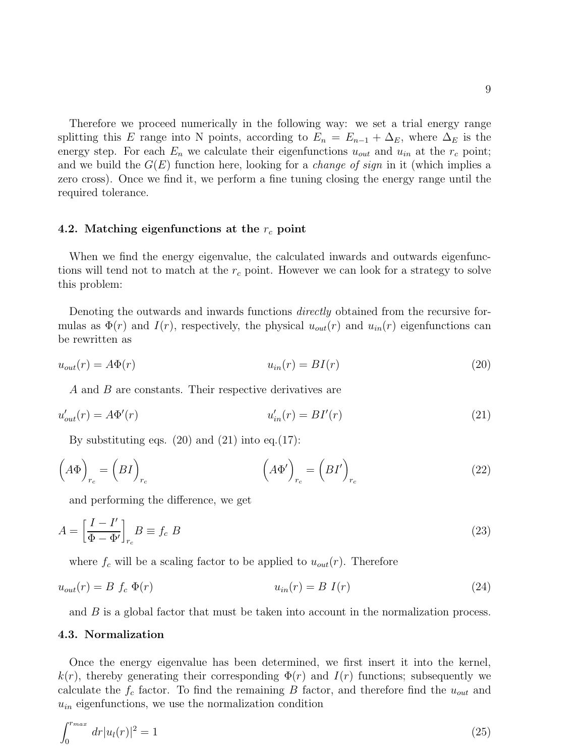Therefore we proceed numerically in the following way: we set a trial energy range splitting this E range into N points, according to  $E_n = E_{n-1} + \Delta_E$ , where  $\Delta_E$  is the energy step. For each  $E_n$  we calculate their eigenfunctions  $u_{out}$  and  $u_{in}$  at the  $r_c$  point; and we build the  $G(E)$  function here, looking for a *change of sign* in it (which implies a zero cross). Once we find it, we perform a fine tuning closing the energy range until the required tolerance.

### <span id="page-8-0"></span>4.2. Matching eigenfunctions at the  $r_c$  point

When we find the energy eigenvalue, the calculated inwards and outwards eigenfunctions will tend not to match at the  $r_c$  point. However we can look for a strategy to solve this problem:

Denoting the outwards and inwards functions *directly* obtained from the recursive formulas as  $\Phi(r)$  and  $I(r)$ , respectively, the physical  $u_{out}(r)$  and  $u_{in}(r)$  eigenfunctions can be rewritten as

$$
u_{out}(r) = A\Phi(r) \tag{20}
$$

A and B are constants. Their respective derivatives are

$$
u'_{out}(r) = A\Phi'(r) \tag{21}
$$

By substituting eqs.  $(20)$  and  $(21)$  into eq. $(17)$ :

$$
\left(A\Phi\right)_{r_c} = \left(BI\right)_{r_c} \qquad \qquad \left(A\Phi'\right)_{r_c} = \left(BI'\right)_{r_c} \qquad (22)
$$

and performing the difference, we get

$$
A = \left[\frac{I - I'}{\Phi - \Phi'}\right]_{r_c} B \equiv f_c \ B \tag{23}
$$

where  $f_c$  will be a scaling factor to be applied to  $u_{out}(r)$ . Therefore

$$
u_{out}(r) = B f_c \Phi(r) \qquad u_{in}(r) = B I(r) \qquad (24)
$$

<span id="page-8-1"></span>and B is a global factor that must be taken into account in the normalization process.

### 4.3. Normalization

Once the energy eigenvalue has been determined, we first insert it into the kernel,  $k(r)$ , thereby generating their corresponding  $\Phi(r)$  and  $I(r)$  functions; subsequently we calculate the  $f_c$  factor. To find the remaining B factor, and therefore find the  $u_{out}$  and  $u_{in}$  eigenfunctions, we use the normalization condition

$$
\int_0^{r_{max}} dr |u_l(r)|^2 = 1
$$
\n(25)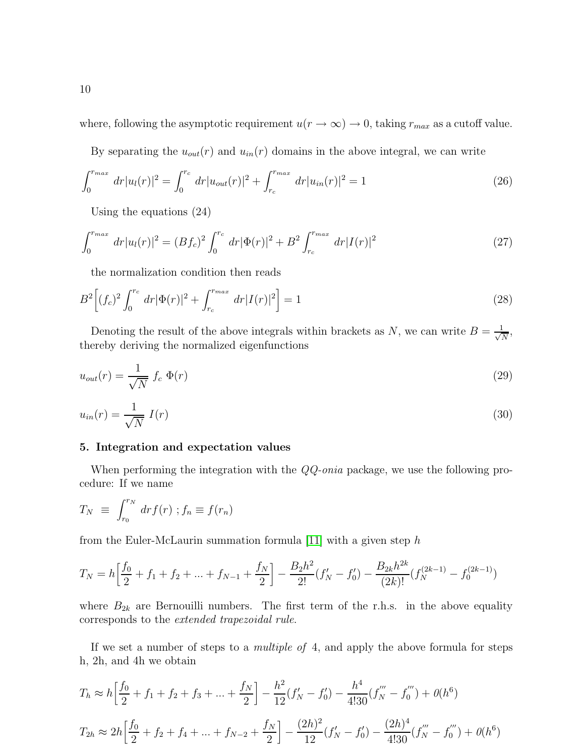where, following the asymptotic requirement  $u(r \to \infty) \to 0$ , taking  $r_{max}$  as a cutoff value.

By separating the  $u_{out}(r)$  and  $u_{in}(r)$  domains in the above integral, we can write

$$
\int_0^{r_{max}} dr |u_l(r)|^2 = \int_0^{r_c} dr |u_{out}(r)|^2 + \int_{r_c}^{r_{max}} dr |u_{in}(r)|^2 = 1
$$
\n(26)

Using the equations (24)

$$
\int_0^{r_{max}} dr |u_l(r)|^2 = (Bf_c)^2 \int_0^{r_c} dr |\Phi(r)|^2 + B^2 \int_{r_c}^{r_{max}} dr |I(r)|^2
$$
\n(27)

the normalization condition then reads

$$
B^{2}\left[(f_{c})^{2}\int_{0}^{r_{c}}dr|\Phi(r)|^{2}+\int_{r_{c}}^{r_{max}}dr|I(r)|^{2}\right]=1
$$
\n(28)

Denoting the result of the above integrals within brackets as N, we can write  $B = \frac{1}{\sqrt{2}}$  $\frac{1}{N}$ , thereby deriving the normalized eigenfunctions

$$
u_{out}(r) = \frac{1}{\sqrt{N}} f_c \Phi(r) \tag{29}
$$

$$
u_{in}(r) = \frac{1}{\sqrt{N}} I(r) \tag{30}
$$

### <span id="page-9-0"></span>5. Integration and expectation values

When performing the integration with the  $QQ\text{-}onia$  package, we use the following procedure: If we name

$$
T_N \equiv \int_{r_0}^{r_N} dr f(r) \; ; f_n \equiv f(r_n)
$$

from the Euler-McLaurin summation formula [\[11\]](#page-29-10) with a given step  $h$ 

$$
T_N = h\left[\frac{f_0}{2} + f_1 + f_2 + \dots + f_{N-1} + \frac{f_N}{2}\right] - \frac{B_2 h^2}{2!} (f_N' - f_0') - \frac{B_{2k} h^{2k}}{(2k)!} (f_N^{(2k-1)} - f_0^{(2k-1)})
$$

where  $B_{2k}$  are Bernouilli numbers. The first term of the r.h.s. in the above equality corresponds to the extended trapezoidal rule.

If we set a number of steps to a multiple of 4, and apply the above formula for steps h, 2h, and 4h we obtain

$$
T_h \approx h \left[ \frac{f_0}{2} + f_1 + f_2 + f_3 + \dots + \frac{f_N}{2} \right] - \frac{h^2}{12} (f'_N - f'_0) - \frac{h^4}{4!30} (f''_N - f''_0) + \theta(h^6)
$$
  

$$
T_{2h} \approx 2h \left[ \frac{f_0}{2} + f_2 + f_4 + \dots + f_{N-2} + \frac{f_N}{2} \right] - \frac{(2h)^2}{12} (f'_N - f'_0) - \frac{(2h)^4}{4!30} (f'''_N - f''_0) + \theta(h^6)
$$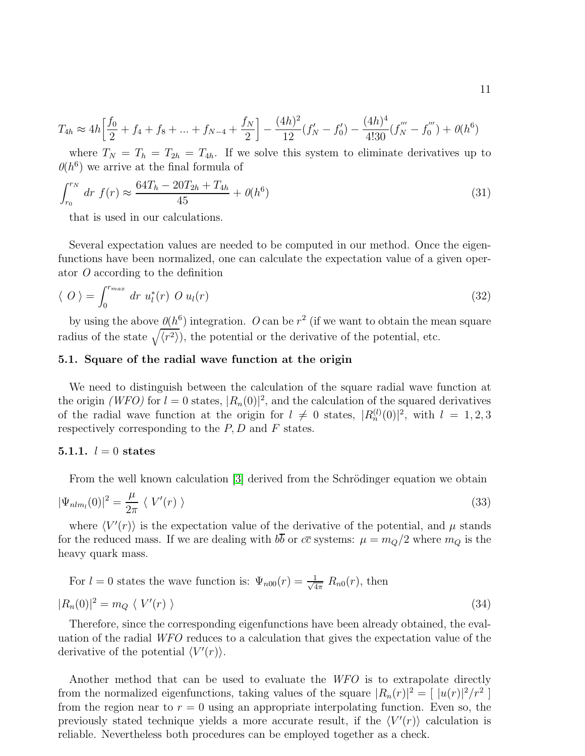$$
T_{4h} \approx 4h \left[ \frac{f_0}{2} + f_4 + f_8 + \dots + f_{N-4} + \frac{f_N}{2} \right] - \frac{(4h)^2}{12} (f_N' - f_0') - \frac{(4h)^4}{4!30} (f_N''' - f_0''') + \theta(h^6)
$$

where  $T_N = T_h = T_{2h} = T_{4h}$ . If we solve this system to eliminate derivatives up to  $\theta(h^6)$  we arrive at the final formula of

$$
\int_{r_0}^{r_N} dr f(r) \approx \frac{64T_h - 20T_{2h} + T_{4h}}{45} + \theta(h^6)
$$
\n(31)

that is used in our calculations.

Several expectation values are needed to be computed in our method. Once the eigenfunctions have been normalized, one can calculate the expectation value of a given operator O according to the definition

$$
\langle O \rangle = \int_0^{r_{max}} dr u_l^*(r) O u_l(r) \tag{32}
$$

by using the above  $\theta(h^6)$  integration. O can be  $r^2$  (if we want to obtain the mean square radius of the state  $\sqrt{\langle r^2 \rangle}$ , the potential or the derivative of the potential, etc.

### <span id="page-10-0"></span>5.1. Square of the radial wave function at the origin

We need to distinguish between the calculation of the square radial wave function at the origin (WFO) for  $l = 0$  states,  $|R_n(0)|^2$ , and the calculation of the squared derivatives of the radial wave function at the origin for  $l \neq 0$  states,  $|R_n^{(l)}(0)|^2$ , with  $l = 1, 2, 3$ respectively corresponding to the  $P, D$  and  $F$  states.

### <span id="page-10-1"></span>**5.1.1.**  $l = 0$  states

From the well known calculation [\[3\]](#page-29-2) derived from the Schrödinger equation we obtain

$$
|\Psi_{nlm_l}(0)|^2 = \frac{\mu}{2\pi} \langle V'(r) \rangle \tag{33}
$$

where  $\langle V'(r) \rangle$  is the expectation value of the derivative of the potential, and  $\mu$  stands for the reduced mass. If we are dealing with  $b\overline{b}$  or  $c\overline{c}$  systems:  $\mu = m_Q/2$  where  $m_Q$  is the heavy quark mass.

For 
$$
l = 0
$$
 states the wave function is:  $\Psi_{n00}(r) = \frac{1}{\sqrt{4\pi}} R_{n0}(r)$ , then  

$$
|R_n(0)|^2 = m_Q \langle V'(r) \rangle
$$
(34)

Therefore, since the corresponding eigenfunctions have been already obtained, the evaluation of the radial WFO reduces to a calculation that gives the expectation value of the derivative of the potential  $\langle V'(r) \rangle$ .

Another method that can be used to evaluate the WFO is to extrapolate directly from the normalized eigenfunctions, taking values of the square  $|R_n(r)|^2 = \lfloor |u(r)|^2/r^2 \rfloor$ from the region near to  $r = 0$  using an appropriate interpolating function. Even so, the previously stated technique yields a more accurate result, if the  $\langle V'(r) \rangle$  calculation is reliable. Nevertheless both procedures can be employed together as a check.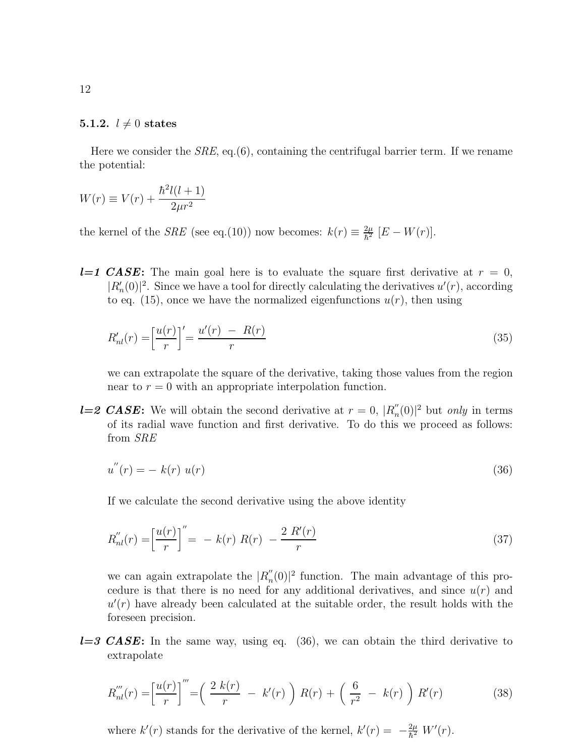### <span id="page-11-0"></span>5.1.2.  $l \neq 0$  states

Here we consider the  $SRE$ , eq.(6), containing the centrifugal barrier term. If we rename the potential:

$$
W(r) \equiv V(r) + \frac{\hbar^2 l(l+1)}{2\mu r^2}
$$

the kernel of the *SRE* (see eq.(10)) now becomes:  $k(r) \equiv \frac{2\mu}{\hbar^2}$  $\frac{2\mu}{\hbar^2}$   $[E - W(r)].$ 

**l=1 CASE:** The main goal here is to evaluate the square first derivative at  $r = 0$ ,  $|R'_n(0)|^2$ . Since we have a tool for directly calculating the derivatives  $u'(r)$ , according to eq. (15), once we have the normalized eigenfunctions  $u(r)$ , then using

$$
R'_{nl}(r) = \left[\frac{u(r)}{r}\right]' = \frac{u'(r) - R(r)}{r}
$$
\n(35)

we can extrapolate the square of the derivative, taking those values from the region near to  $r = 0$  with an appropriate interpolation function.

**l=2 CASE:** We will obtain the second derivative at  $r = 0$ ,  $|R_n''|$  $n'(0)$ <sup>2</sup> but *only* in terms of its radial wave function and first derivative. To do this we proceed as follows: from SRE

$$
u''(r) = -k(r) u(r)
$$
\n(36)

If we calculate the second derivative using the above identity

$$
R_{nl}''(r) = \left[\frac{u(r)}{r}\right]'' = -k(r) R(r) - \frac{2 R'(r)}{r}
$$
\n(37)

we can again extrapolate the  $|R_n''$  $_n^{\prime\prime}(0)$ <sup>2</sup> function. The main advantage of this procedure is that there is no need for any additional derivatives, and since  $u(r)$  and  $u'(r)$  have already been calculated at the suitable order, the result holds with the foreseen precision.

 $l=3$  CASE: In the same way, using eq. (36), we can obtain the third derivative to extrapolate

$$
R_{nl}^{'''}(r) = \left[\frac{u(r)}{r}\right]^{'''} = \left(\frac{2 k(r)}{r} - k'(r)\right)R(r) + \left(\frac{6}{r^2} - k(r)\right)R'(r) \tag{38}
$$

where  $k'(r)$  stands for the derivative of the kernel,  $k'(r) = -\frac{2\mu}{\hbar^2}$  $\frac{2\mu}{\hbar^2} W'(r)$ .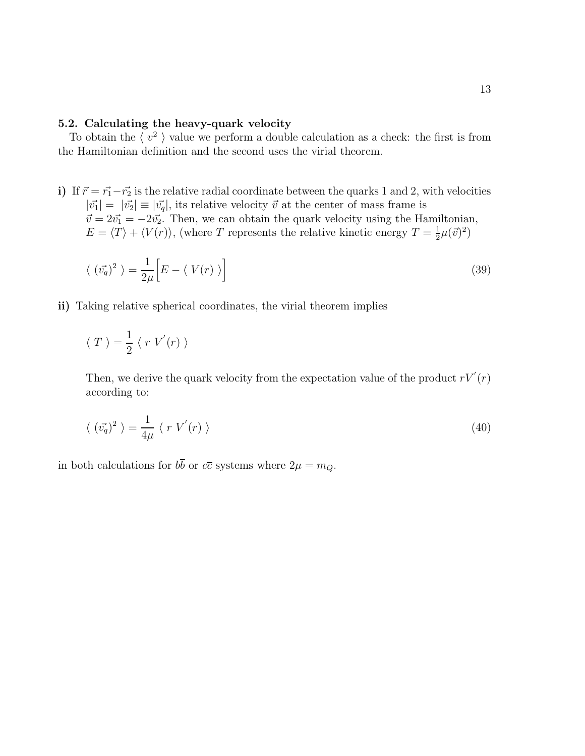### <span id="page-12-0"></span>5.2. Calculating the heavy-quark velocity

To obtain the  $\langle v^2 \rangle$  value we perform a double calculation as a check: the first is from the Hamiltonian definition and the second uses the virial theorem.

i) If  $\vec{r} = \vec{r_1} - \vec{r_2}$  is the relative radial coordinate between the quarks 1 and 2, with velocities  $|\vec{v_1}| = |\vec{v_2}| \equiv |\vec{v_q}|$ , its relative velocity  $\vec{v}$  at the center of mass frame is  $\vec{v} = 2\vec{v_1} = -2\vec{v_2}$ . Then, we can obtain the quark velocity using the Hamiltonian,  $E = \langle T \rangle + \langle V(r) \rangle$ , (where T represents the relative kinetic energy  $T = \frac{1}{2}$  $\frac{1}{2}\mu(\vec{v})^2)$ 

$$
\langle (\vec{v_q})^2 \rangle = \frac{1}{2\mu} \Big[ E - \langle V(r) \rangle \Big] \tag{39}
$$

ii) Taking relative spherical coordinates, the virial theorem implies

$$
\langle T \rangle = \frac{1}{2} \langle r V'(r) \rangle
$$

Then, we derive the quark velocity from the expectation value of the product  $rV'(r)$ according to:

$$
\langle (\vec{v_q})^2 \rangle = \frac{1}{4\mu} \langle r V'(r) \rangle \tag{40}
$$

in both calculations for  $b\overline{b}$  or  $c\overline{c}$  systems where  $2\mu = m_Q$ .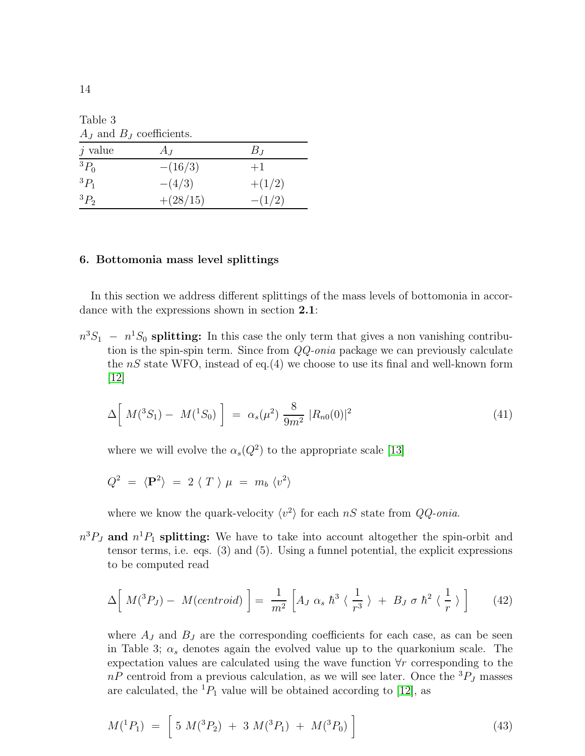Table 3  $A_I$  and  $B_I$  coefficients.

| $j$ value | $A_J$      | $B_J$    |
|-----------|------------|----------|
| ${}^3P_0$ | $-(16/3)$  | $+1$     |
| ${}^3P_1$ | $-(4/3)$   | $+(1/2)$ |
| ${}^3P_2$ | $+(28/15)$ | $-(1/2)$ |

### <span id="page-13-0"></span>6. Bottomonia mass level splittings

In this section we address different splittings of the mass levels of bottomonia in accordance with the expressions shown in section 2.1:

 $n^3S_1 - n^1S_0$  splitting: In this case the only term that gives a non vanishing contribution is the spin-spin term. Since from  $QQ\text{-}onia$  package we can previously calculate the  $nS$  state WFO, instead of eq.(4) we choose to use its final and well-known form [\[12\]](#page-29-11)

$$
\Delta \left[ M(^{3}S_{1}) - M(^{1}S_{0}) \right] = \alpha_{s}(\mu^{2}) \frac{8}{9m^{2}} |R_{n0}(0)|^{2}
$$
\n(41)

where we will evolve the  $\alpha_s(Q^2)$  to the appropriate scale [\[13\]](#page-29-12)

$$
Q^2 = \langle \mathbf{P}^2 \rangle = 2 \langle T \rangle \mu = m_b \langle v^2 \rangle
$$

where we know the quark-velocity  $\langle v^2 \rangle$  for each nS state from  $QQ\text{-}onia$ .

 $n^3P_J$  and  $n^1P_1$  splitting: We have to take into account altogether the spin-orbit and tensor terms, i.e. eqs. (3) and (5). Using a funnel potential, the explicit expressions to be computed read

$$
\Delta\left[M(^{3}P_{J})-M(centroid)\right]=\frac{1}{m^{2}}\left[A_{J}\alpha_{s}\hbar^{3}\langle\frac{1}{r^{3}}\rangle+B_{J}\sigma\hbar^{2}\langle\frac{1}{r}\rangle\right]
$$
(42)

where  $A_J$  and  $B_J$  are the corresponding coefficients for each case, as can be seen in Table 3;  $\alpha_s$  denotes again the evolved value up to the quarkonium scale. The expectation values are calculated using the wave function ∀r corresponding to the  $nP$  centroid from a previous calculation, as we will see later. Once the  ${}^{3}P_J$  masses are calculated, the  ${}^{1}P_{1}$  value will be obtained according to [\[12\]](#page-29-11), as

$$
M(^{1}P_{1}) = [5 M(^{3}P_{2}) + 3 M(^{3}P_{1}) + M(^{3}P_{0})]
$$
\n(43)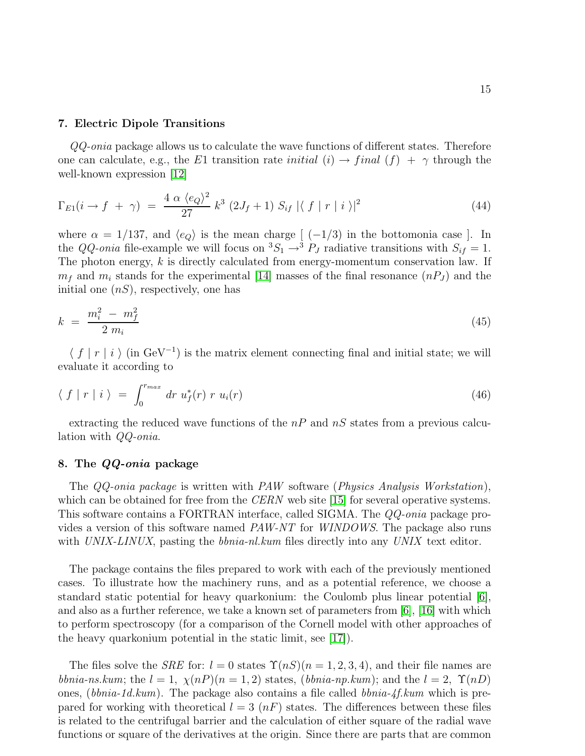#### <span id="page-14-0"></span>7. Electric Dipole Transitions

QQ-onia package allows us to calculate the wave functions of different states. Therefore one can calculate, e.g., the E1 transition rate *initial*  $(i) \rightarrow final$   $(f) + \gamma$  through the well-known expression [\[12\]](#page-29-11)

$$
\Gamma_{E1}(i \to f + \gamma) = \frac{4 \alpha \langle e_Q \rangle^2}{27} k^3 (2J_f + 1) S_{if} |\langle f | r | i \rangle|^2 \tag{44}
$$

where  $\alpha = 1/137$ , and  $\langle e_Q \rangle$  is the mean charge  $\left[ (-1/3) \text{ in the bottomonia case } \right]$ . In the QQ-onia file-example we will focus on  ${}^3S_1 \rightarrow {}^3P_J$  radiative transitions with  $S_{if} = 1$ . The photon energy, k is directly calculated from energy-momentum conservation law. If  $m_f$  and  $m_i$  stands for the experimental [\[14\]](#page-29-13) masses of the final resonance  $(nP_J)$  and the initial one  $(nS)$ , respectively, one has

$$
k = \frac{m_i^2 - m_f^2}{2 m_i} \tag{45}
$$

 $\langle f | r | i \rangle$  (in GeV<sup>-1</sup>) is the matrix element connecting final and initial state; we will evaluate it according to

$$
\langle f | r | i \rangle = \int_0^{r_{max}} dr u_f^*(r) r u_i(r) \qquad (46)
$$

extracting the reduced wave functions of the  $nP$  and  $nS$  states from a previous calculation with QQ-onia.

### <span id="page-14-1"></span>8. The QQ-onia package

The QQ-onia package is written with PAW software (Physics Analysis Workstation), which can be obtained for free from the *CERN* web site [\[15\]](#page-29-14) for several operative systems. This software contains a FORTRAN interface, called SIGMA. The QQ-onia package provides a version of this software named PAW-NT for WINDOWS. The package also runs with UNIX-LINUX, pasting the *bbnia-nl.kum* files directly into any UNIX text editor.

The package contains the files prepared to work with each of the previously mentioned cases. To illustrate how the machinery runs, and as a potential reference, we choose a standard static potential for heavy quarkonium: the Coulomb plus linear potential  $[6]$ , and also as a further reference, we take a known set of parameters from [\[6\]](#page-29-5), [\[16\]](#page-29-15) with which to perform spectroscopy (for a comparison of the Cornell model with other approaches of the heavy quarkonium potential in the static limit, see [\[17\]](#page-29-16)).

The files solve the *SRE* for:  $l = 0$  states  $\Upsilon(nS)(n = 1, 2, 3, 4)$ , and their file names are bbnia-ns.kum; the  $l = 1$ ,  $\chi(nP)(n = 1, 2)$  states, (bbnia-np.kum); and the  $l = 2$ ,  $\Upsilon(nD)$ ones, (bbnia-1d.kum). The package also contains a file called bonia- $4f.kum$  which is prepared for working with theoretical  $l = 3 \ (nF)$  states. The differences between these files is related to the centrifugal barrier and the calculation of either square of the radial wave functions or square of the derivatives at the origin. Since there are parts that are common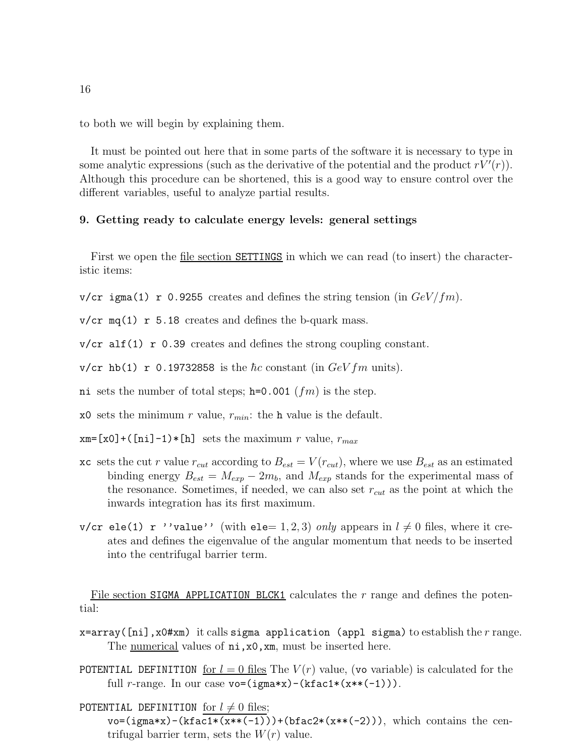to both we will begin by explaining them.

It must be pointed out here that in some parts of the software it is necessary to type in some analytic expressions (such as the derivative of the potential and the product  $rV'(r)$ ). Although this procedure can be shortened, this is a good way to ensure control over the different variables, useful to analyze partial results.

### <span id="page-15-0"></span>9. Getting ready to calculate energy levels: general settings

First we open the <u>file section SETTINGS</u> in which we can read (to insert) the characteristic items:

v/cr igma(1) r 0.9255 creates and defines the string tension (in  $GeV/fm$ ).

 $v/cr$  mq(1) r 5.18 creates and defines the b-quark mass.

 $v/cr$  alf(1) r 0.39 creates and defines the strong coupling constant.

v/cr hb(1) r 0.19732858 is the  $\hbar c$  constant (in  $GeVfm$  units).

ni sets the number of total steps;  $h=0.001$   $(fm)$  is the step.

x0 sets the minimum r value,  $r_{min}$ : the h value is the default.

 $x = [x0] + (ni] - 1) * [h]$  sets the maximum r value,  $r_{max}$ 

- xc sets the cut r value  $r_{cut}$  according to  $B_{est} = V(r_{cut})$ , where we use  $B_{est}$  as an estimated binding energy  $B_{est} = M_{exp} - 2m_b$ , and  $M_{exp}$  stands for the experimental mass of the resonance. Sometimes, if needed, we can also set  $r_{cut}$  as the point at which the inwards integration has its first maximum.
- v/cr ele(1) r ''value'' (with ele= 1, 2, 3) only appears in  $l \neq 0$  files, where it creates and defines the eigenvalue of the angular momentum that needs to be inserted into the centrifugal barrier term.

File section SIGMA APPLICATION BLCK1 calculates the r range and defines the potential:

 $x=array([ni],x0#xm)$  it calls sigma application (appl sigma) to establish the r range. The <u>numerical</u> values of  $ni$ , x0, xm, must be inserted here.

POTENTIAL DEFINITION for  $l = 0$  files The  $V(r)$  value, (vo variable) is calculated for the full r-range. In our case  $\text{vo}=(\text{igma}*\mathbf{x})-(\text{kfac1}*(\mathbf{x}*\mathbf{(-1)})).$ 

POTENTIAL DEFINITION for  $l \neq 0$  files;

 $vo=(igma*x)-(kfac1*(x**(-1)))+(bfac2*(x**(-2))),$  which contains the centrifugal barrier term, sets the  $W(r)$  value.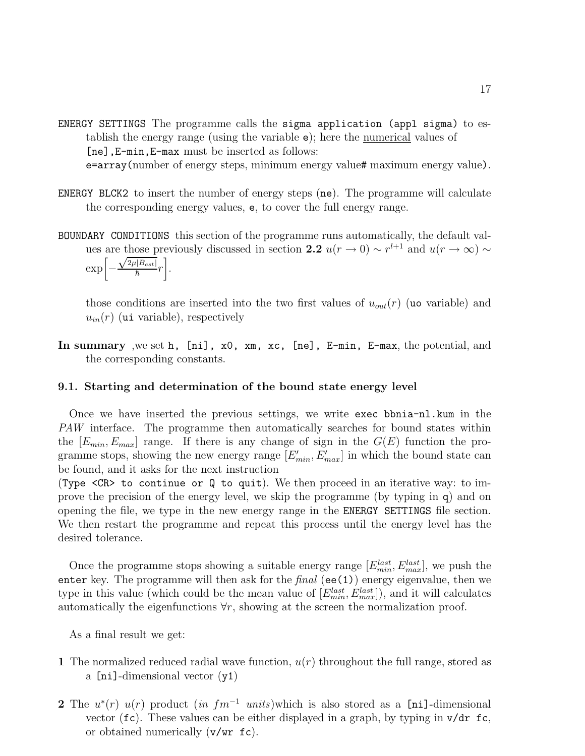ENERGY SETTINGS The programme calls the sigma application (appl sigma) to establish the energy range (using the variable e); here the numerical values of [ne],E-min,E-max must be inserted as follows:

e=array(number of energy steps, minimum energy value# maximum energy value).

- ENERGY BLCK2 to insert the number of energy steps (ne). The programme will calculate the corresponding energy values, e, to cover the full energy range.
- BOUNDARY CONDITIONS this section of the programme runs automatically, the default values are those previously discussed in section 2.2  $u(r \to 0) \sim r^{l+1}$  and  $u(r \to \infty) \sim$

$$
\exp\left[-\frac{\sqrt{2\mu|B_{est}|}}{\hbar}r\right].
$$

those conditions are inserted into the two first values of  $u_{out}(r)$  (uo variable) and  $u_{in}(r)$  (ui variable), respectively

In summary ,we set h, [ni], x0, xm, xc, [ne], E-min, E-max, the potential, and the corresponding constants.

### <span id="page-16-0"></span>9.1. Starting and determination of the bound state energy level

Once we have inserted the previous settings, we write exec bbnia-nl.kum in the PAW interface. The programme then automatically searches for bound states within the  $[E_{min}, E_{max}]$  range. If there is any change of sign in the  $G(E)$  function the programme stops, showing the new energy range  $[E'_{min}, E'_{max}]$  in which the bound state can be found, and it asks for the next instruction

(Type <CR> to continue or Q to quit). We then proceed in an iterative way: to improve the precision of the energy level, we skip the programme (by typing in q) and on opening the file, we type in the new energy range in the ENERGY SETTINGS file section. We then restart the programme and repeat this process until the energy level has the desired tolerance.

Once the programme stops showing a suitable energy range  $[E_{min}^{last}, E_{max}^{last}]$ , we push the enter key. The programme will then ask for the  $final$  (ee(1)) energy eigenvalue, then we type in this value (which could be the mean value of  $[E_{min}^{last}, E_{max}^{last}])$ , and it will calculates automatically the eigenfunctions  $\forall r$ , showing at the screen the normalization proof.

As a final result we get:

- 1 The normalized reduced radial wave function,  $u(r)$  throughout the full range, stored as a [ni]-dimensional vector (y1)
- 2 The  $u^*(r)$   $u(r)$  product  $(in fm^{-1}$  units)which is also stored as a [ni]-dimensional vector ( $\mathbf{fc}$ ). These values can be either displayed in a graph, by typing in  $\mathbf{v}/\mathbf{dr}$   $\mathbf{fc}$ , or obtained numerically (v/wr fc).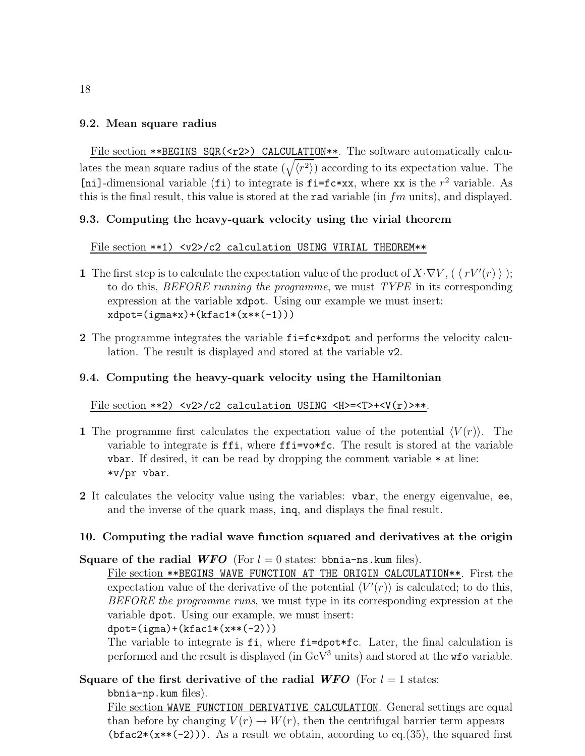# <span id="page-17-0"></span>9.2. Mean square radius

File section \*\*BEGINS SQR(<r2>) CALCULATION\*\*. The software automatically calculates the mean square radius of the state  $(\sqrt{\langle r^2 \rangle})$  according to its expectation value. The [ni]-dimensional variable (fi) to integrate is  $f = f c \cdot xx$ , where xx is the  $r^2$  variable. As this is the final result, this value is stored at the rad variable (in  $fm$  units), and displayed.

# <span id="page-17-1"></span>9.3. Computing the heavy-quark velocity using the virial theorem

# File section \*\*1) <v2>/c2 calculation USING VIRIAL THEOREM\*\*

- 1 The first step is to calculate the expectation value of the product of  $X \cdot \nabla V$ ,  $(\langle rV'(r) \rangle)$ ; to do this, BEFORE running the programme, we must TYPE in its corresponding expression at the variable xdpot. Using our example we must insert:  $xdpot=(igma*x)+(kfac1*(x**(-1)))$
- 2 The programme integrates the variable  $f = f \circ \ast \times d$  and performs the velocity calculation. The result is displayed and stored at the variable v2.

# <span id="page-17-2"></span>9.4. Computing the heavy-quark velocity using the Hamiltonian

### File section \*\*2)  $\langle v2 \rangle / c2$  calculation USING  $\langle H \rangle = \langle T \rangle + \langle V(r) \rangle$ \*\*.

- 1 The programme first calculates the expectation value of the potential  $\langle V(r) \rangle$ . The variable to integrate is ffi, where ffi=vo\*fc. The result is stored at the variable vbar. If desired, it can be read by dropping the comment variable  $*$  at line: \*v/pr vbar.
- 2 It calculates the velocity value using the variables: vbar, the energy eigenvalue, ee, and the inverse of the quark mass, inq, and displays the final result.

# <span id="page-17-3"></span>10. Computing the radial wave function squared and derivatives at the origin

# Square of the radial WFO (For  $l = 0$  states: bbnia-ns.kum files).

File section \*\* BEGINS WAVE FUNCTION AT THE ORIGIN CALCULATION \*\*. First the expectation value of the derivative of the potential  $\langle V'(r) \rangle$  is calculated; to do this, BEFORE the programme runs, we must type in its corresponding expression at the variable dpot. Using our example, we must insert:

 $dpot=(igma)+(kfac1*(x**(-2)))$ 

The variable to integrate is fi, where fi=dpot\*fc. Later, the final calculation is performed and the result is displayed (in  $GeV^3$  units) and stored at the  $\kappa$  provariable.

Square of the first derivative of the radial WFO (For  $l = 1$  states:

bbnia-np.kum files).

File section WAVE FUNCTION DERIVATIVE CALCULATION. General settings are equal than before by changing  $V(r) \to W(r)$ , then the centrifugal barrier term appears (bfac2 $*(x**(-2))$ ). As a result we obtain, according to eq.(35), the squared first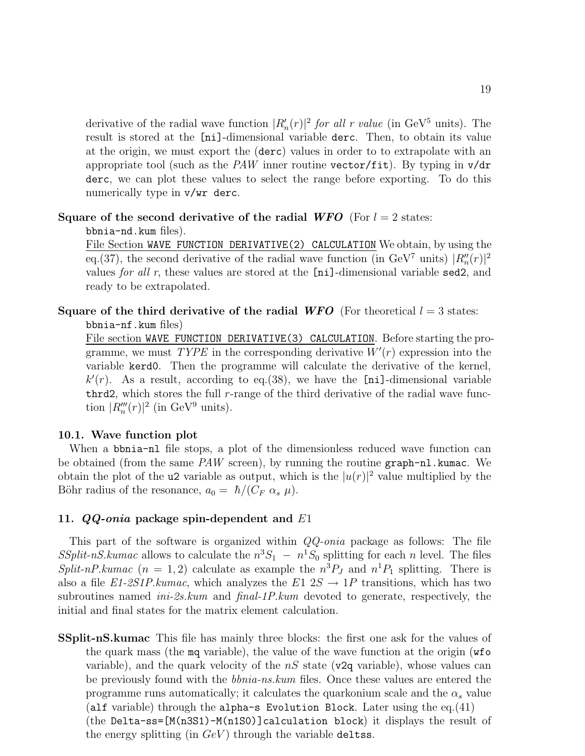derivative of the radial wave function  $|R'_n(r)|^2$  for all r value (in GeV<sup>5</sup> units). The result is stored at the [ni]-dimensional variable derc. Then, to obtain its value at the origin, we must export the (derc) values in order to to extrapolate with an appropriate tool (such as the PAW inner routine vector/fit). By typing in  $v/dr$ derc, we can plot these values to select the range before exporting. To do this numerically type in  $v/wr$  derc.

# Square of the second derivative of the radial WFO (For  $l = 2$  states:

bbnia-nd.kum files).

File Section WAVE FUNCTION DERIVATIVE(2) CALCULATION We obtain, by using the eq.(37), the second derivative of the radial wave function (in GeV<sup>7</sup> units)  $|R''_n(r)|^2$ values for all r, these values are stored at the [ni]-dimensional variable sed2, and ready to be extrapolated.

Square of the third derivative of the radial WFO (For theoretical  $l = 3$  states: bbnia-nf.kum files)

File section WAVE FUNCTION DERIVATIVE(3) CALCULATION. Before starting the programme, we must  $TYPE$  in the corresponding derivative  $W'(r)$  expression into the variable kerd0. Then the programme will calculate the derivative of the kernel,  $k'(r)$ . As a result, according to eq.(38), we have the [ni]-dimensional variable thrd2, which stores the full  $r$ -range of the third derivative of the radial wave function  $|R_n'''(r)|^2$  (in GeV<sup>9</sup> units).

# <span id="page-18-0"></span>10.1. Wave function plot

When a bonia-nl file stops, a plot of the dimensionless reduced wave function can be obtained (from the same PAW screen), by running the routine graph-nl.kumac. We obtain the plot of the **u2** variable as output, which is the  $|u(r)|^2$  value multiplied by the Böhr radius of the resonance,  $a_0 = \hbar/(C_F \alpha_s \mu)$ .

# <span id="page-18-1"></span>11.  $QQ\text{-}onia$  package spin-dependent and  $E1$

This part of the software is organized within QQ-onia package as follows: The file SSplit-nS.kumac allows to calculate the  $n^3S_1 - n^1S_0$  splitting for each n level. The files Split-nP.kumac (n = 1, 2) calculate as example the  $n^3P_J$  and  $n^1P_1$  splitting. There is also a file E1-2S1P.kumac, which analyzes the E1  $2S \rightarrow 1P$  transitions, which has two subroutines named ini-2s.kum and final-1P.kum devoted to generate, respectively, the initial and final states for the matrix element calculation.

SSplit-nS.kumac This file has mainly three blocks: the first one ask for the values of the quark mass (the mq variable), the value of the wave function at the origin (wfo variable), and the quark velocity of the  $nS$  state (v2q variable), whose values can be previously found with the *bbnia-ns.kum* files. Once these values are entered the programme runs automatically; it calculates the quarkonium scale and the  $\alpha_s$  value (alf variable) through the alpha-s Evolution Block. Later using the eq.(41) (the Delta-ss=[M(n3S1)-M(n1S0)]calculation block) it displays the result of the energy splitting (in  $GeV$ ) through the variable deltss.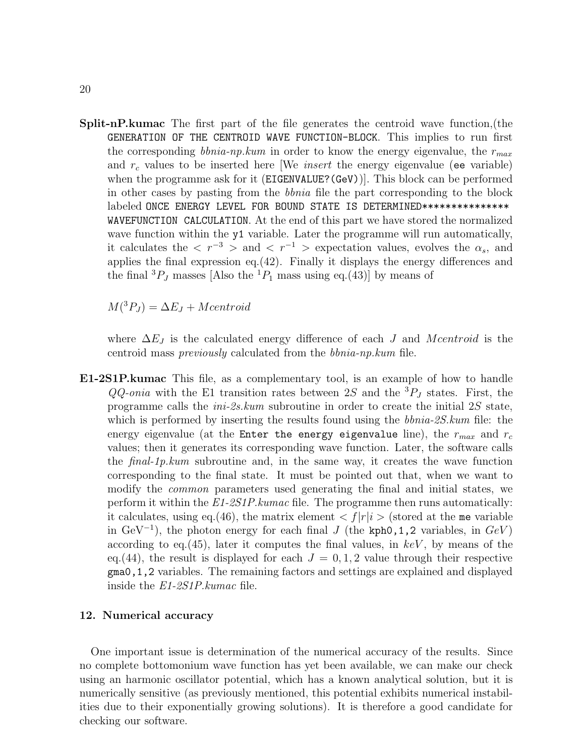Split-nP.kumac The first part of the file generates the centroid wave function,(the GENERATION OF THE CENTROID WAVE FUNCTION-BLOCK. This implies to run first the corresponding *bbnia-np.kum* in order to know the energy eigenvalue, the  $r_{max}$ and  $r_c$  values to be inserted here [We *insert* the energy eigenvalue (ee variable) when the programme ask for it (EIGENVALUE?(GeV)). This block can be performed in other cases by pasting from the bbnia file the part corresponding to the block labeled ONCE ENERGY LEVEL FOR BOUND STATE IS DETERMINED\*\*\*\*\*\*\*\*\*\*\*\*\*\*\* WAVEFUNCTION CALCULATION. At the end of this part we have stored the normalized wave function within the y1 variable. Later the programme will run automatically, it calculates the  $\langle r^{-3} \rangle$  and  $\langle r^{-1} \rangle$  expectation values, evolves the  $\alpha_s$ , and applies the final expression eq.(42). Finally it displays the energy differences and the final  ${}^{3}P_J$  masses [Also the  ${}^{1}P_1$  mass using eq.(43)] by means of

 $M({}^{3}P_J) = \Delta E_J + Mcentroid$ 

where  $\Delta E_J$  is the calculated energy difference of each J and Mcentroid is the centroid mass previously calculated from the bbnia-np.kum file.

E1-2S1P.kumac This file, as a complementary tool, is an example of how to handle  $QQ$ -onia with the E1 transition rates between 2S and the  ${}^{3}P_J$  states. First, the programme calls the ini-2s.kum subroutine in order to create the initial 2S state, which is performed by inserting the results found using the *bbnia-2S.kum* file: the energy eigenvalue (at the Enter the energy eigenvalue line), the  $r_{max}$  and  $r_c$ values; then it generates its corresponding wave function. Later, the software calls the final-1p.kum subroutine and, in the same way, it creates the wave function corresponding to the final state. It must be pointed out that, when we want to modify the common parameters used generating the final and initial states, we perform it within the E1-2S1P.kumac file. The programme then runs automatically: it calculates, using eq.(46), the matrix element  $\langle f|r|i\rangle$  (stored at the me variable in GeV<sup>-1</sup>), the photon energy for each final J (the kph0,1,2 variables, in  $GeV$ ) according to eq.  $(45)$ , later it computes the final values, in keV, by means of the eq.(44), the result is displayed for each  $J = 0, 1, 2$  value through their respective gma0,1,2 variables. The remaining factors and settings are explained and displayed inside the E1-2S1P.kumac file.

### <span id="page-19-0"></span>12. Numerical accuracy

One important issue is determination of the numerical accuracy of the results. Since no complete bottomonium wave function has yet been available, we can make our check using an harmonic oscillator potential, which has a known analytical solution, but it is numerically sensitive (as previously mentioned, this potential exhibits numerical instabilities due to their exponentially growing solutions). It is therefore a good candidate for checking our software.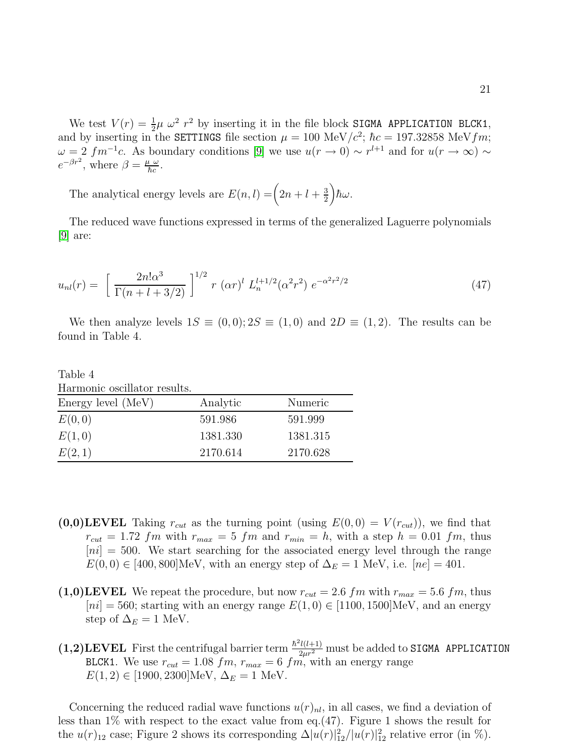We test  $V(r) = \frac{1}{2}\mu \omega^2 r^2$  by inserting it in the file block SIGMA APPLICATION BLCK1, and by inserting in the SETTINGS file section  $\mu = 100 \text{ MeV}/c^2$ ;  $\hbar c = 197.32858 \text{ MeV}/m$ ;  $\omega = 2 \; fm^{-1}c$ . As boundary conditions [\[9\]](#page-29-8) we use  $u(r \to 0) \sim r^{l+1}$  and for  $u(r \to \infty) \sim$  $e^{-\beta r^2}$ , where  $\beta = \frac{\mu \omega}{\hbar c}$ .

The analytical energy levels are  $E(n, l) = (2n + l + \frac{3}{2})$ 2  $\bigg) \hbar \omega.$ 

The reduced wave functions expressed in terms of the generalized Laguerre polynomials [\[9\]](#page-29-8) are:

$$
u_{nl}(r) = \left[\frac{2n!\alpha^3}{\Gamma(n+l+3/2)}\right]^{1/2} r (\alpha r)^l L_n^{l+1/2}(\alpha^2 r^2) e^{-\alpha^2 r^2/2}
$$
 (47)

We then analyze levels  $1S \equiv (0,0); 2S \equiv (1,0)$  and  $2D \equiv (1,2)$ . The results can be found in Table 4.

Table 4

| Harmonic oscillator results. |  |  |
|------------------------------|--|--|
|------------------------------|--|--|

| Energy level (MeV) | Analytic | Numeric  |
|--------------------|----------|----------|
| E(0,0)             | 591.986  | 591.999  |
| E(1,0)             | 1381.330 | 1381.315 |
| E(2,1)             | 2170.614 | 2170.628 |

- $(0,0)$ LEVEL Taking  $r_{cut}$  as the turning point (using  $E(0,0) = V(r_{cut})$ ), we find that  $r_{cut} = 1.72$  fm with  $r_{max} = 5$  fm and  $r_{min} = h$ , with a step  $h = 0.01$  fm, thus  $[ni] = 500$ . We start searching for the associated energy level through the range  $E(0,0) \in [400, 800] \text{MeV}$ , with an energy step of  $\Delta_E = 1 \text{ MeV}$ , i.e.  $[ne] = 401$ .
- $(1,0)$ **LEVEL** We repeat the procedure, but now  $r_{cut} = 2.6$  fm with  $r_{max} = 5.6$  fm, thus  $[ni] = 560$ ; starting with an energy range  $E(1,0) \in [1100, 1500]$ MeV, and an energy step of  $\Delta_E = 1$  MeV.
- (1,2)LEVEL First the centrifugal barrier term  $\frac{\hbar^2 l(l+1)}{2\mu r^2}$  must be added to SIGMA APPLICATION BLCK1. We use  $r_{cut} = 1.08$   $fm, r_{max} = 6$   $fm,$  with an energy range  $E(1, 2) \in [1900, 2300] \text{MeV}, \Delta_E = 1 \text{ MeV}.$

Concerning the reduced radial wave functions  $u(r)_{nl}$ , in all cases, we find a deviation of less than 1% with respect to the exact value from eq.(47). Figure 1 shows the result for the  $u(r)_{12}$  case; Figure 2 shows its corresponding  $\Delta |u(r)|_{12}^2/|u(r)|_{12}^2$  relative error (in %).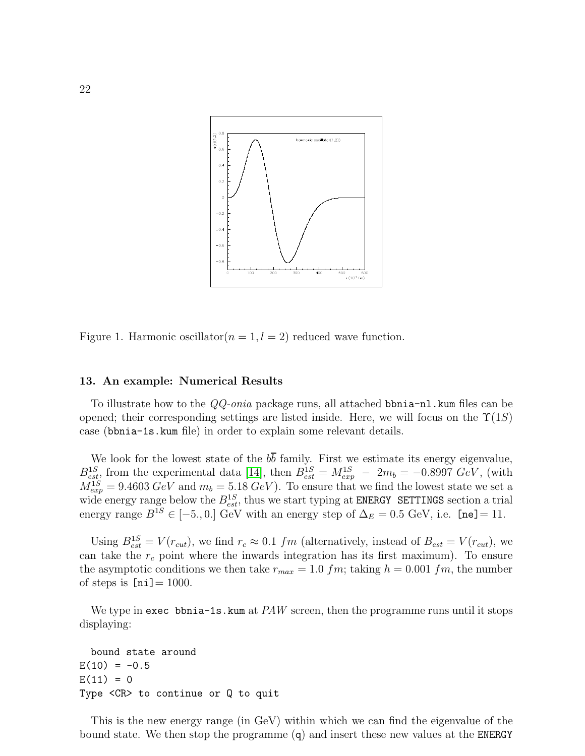

Figure 1. Harmonic oscillator  $(n = 1, l = 2)$  reduced wave function.

### <span id="page-21-0"></span>13. An example: Numerical Results

To illustrate how to the QQ-onia package runs, all attached bbnia-nl.kum files can be opened; their corresponding settings are listed inside. Here, we will focus on the  $\Upsilon(1S)$ case (bbnia-1s.kum file) in order to explain some relevant details.

We look for the lowest state of the  $b\overline{b}$  family. First we estimate its energy eigenvalue,  $B_{est}^{1S}$ , from the experimental data [\[14\]](#page-29-13), then  $B_{est}^{1S} = M_{exp}^{1S} - 2m_b = -0.8997 \ GeV$ , (with  $M_{exp}^{1S} = 9.4603 \text{ GeV}$  and  $m_b = 5.18 \text{ GeV}$ . To ensure that we find the lowest state we set a wide energy range below the  $B_{est}^{1S}$ , thus we start typing at ENERGY SETTINGS section a trial energy range  $B^{1S} \in [-5, 0.1]$  GeV with an energy step of  $\Delta_E = 0.5$  GeV, i.e. [ne] = 11.

Using  $B_{est}^{1S} = V(r_{cut})$ , we find  $r_c \approx 0.1$  fm (alternatively, instead of  $B_{est} = V(r_{cut})$ , we can take the  $r_c$  point where the inwards integration has its first maximum). To ensure the asymptotic conditions we then take  $r_{max} = 1.0$  fm; taking  $h = 0.001$  fm, the number of steps is  $[ni] = 1000$ .

We type in exec bbnia-1s. kum at  $PAW$  screen, then the programme runs until it stops displaying:

```
bound state around
E(10) = -0.5E(11) = 0Type <CR> to continue or Q to quit
```
This is the new energy range (in GeV) within which we can find the eigenvalue of the bound state. We then stop the programme (q) and insert these new values at the ENERGY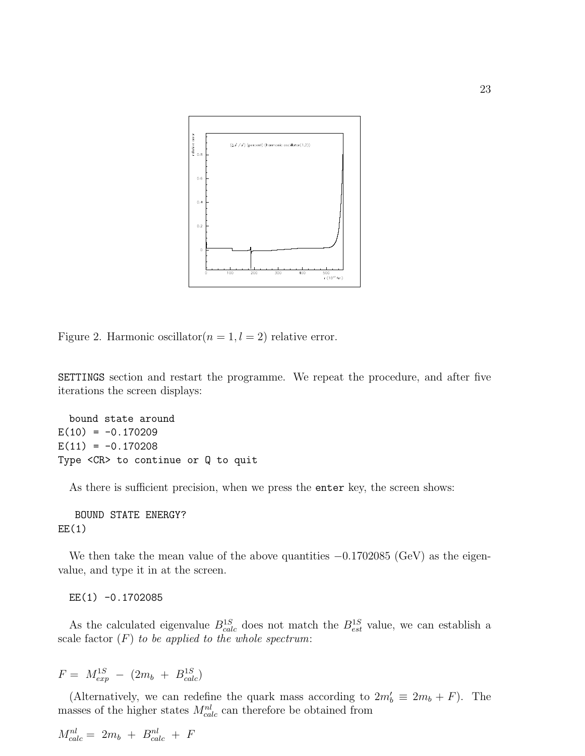

Figure 2. Harmonic oscillator  $(n = 1, l = 2)$  relative error.

SETTINGS section and restart the programme. We repeat the procedure, and after five iterations the screen displays:

bound state around  $E(10) = -0.170209$  $E(11) = -0.170208$ Type <CR> to continue or Q to quit

As there is sufficient precision, when we press the enter key, the screen shows:

BOUND STATE ENERGY?  $EE(1)$ 

We then take the mean value of the above quantities  $-0.1702085$  (GeV) as the eigenvalue, and type it in at the screen.

EE(1) -0.1702085

As the calculated eigenvalue  $B_{calc}^{1S}$  does not match the  $B_{est}^{1S}$  value, we can establish a scale factor  $(F)$  to be applied to the whole spectrum:

$$
F = M_{exp}^{1S} - (2m_b + B_{calc}^{1S})
$$

(Alternatively, we can redefine the quark mass according to  $2m'_b \equiv 2m_b + F$ ). The masses of the higher states  $M_{calc}^{nl}$  can therefore be obtained from

$$
M_{calc}^{nl} = 2m_b + B_{calc}^{nl} + F
$$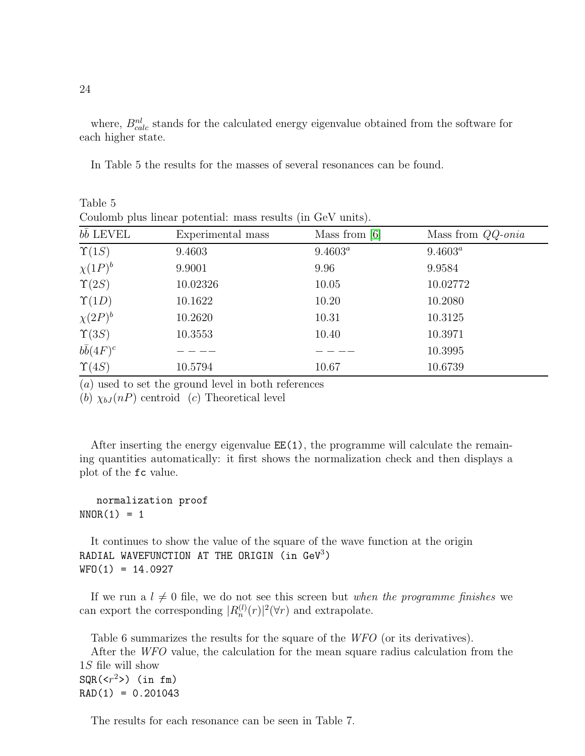where,  $B_{calc}^{nl}$  stands for the calculated energy eigenvalue obtained from the software for each higher state.

In Table 5 the results for the masses of several resonances can be found.

| Coulomb plus linear potential: mass results (in GeV units). |                   |                 |                            |  |  |  |
|-------------------------------------------------------------|-------------------|-----------------|----------------------------|--|--|--|
| $b\bar{b}$ LEVEL                                            | Experimental mass | Mass from $[6]$ | Mass from $QQ\text{-}onia$ |  |  |  |
| $\Upsilon(1S)$                                              | 9.4603            | $9.4603^a$      | $9.4603^a$                 |  |  |  |
| $\chi(1P)^b$                                                | 9.9001            | 9.96            | 9.9584                     |  |  |  |
| $\Upsilon(2S)$                                              | 10.02326          | 10.05           | 10.02772                   |  |  |  |
| $\Upsilon(1D)$                                              | 10.1622           | 10.20           | 10.2080                    |  |  |  |
| $\chi(2P)^b$                                                | 10.2620           | 10.31           | 10.3125                    |  |  |  |
| $\Upsilon(3S)$                                              | 10.3553           | 10.40           | 10.3971                    |  |  |  |
| $b\overline{b}(4F)^c$                                       |                   |                 | 10.3995                    |  |  |  |
| $\Upsilon(4S)$                                              | 10.5794           | 10.67           | 10.6739                    |  |  |  |

Table 5

(a) used to set the ground level in both references

(b)  $\chi_{bJ}(nP)$  centroid (c) Theoretical level

After inserting the energy eigenvalue  $EE(1)$ , the programme will calculate the remaining quantities automatically: it first shows the normalization check and then displays a plot of the fc value.

# normalization proof  $NNOR(1) = 1$

It continues to show the value of the square of the wave function at the origin RADIAL WAVEFUNCTION AT THE ORIGIN (in  $\text{GeV}^3$ )  $WFO(1) = 14.0927$ 

If we run a  $l \neq 0$  file, we do not see this screen but when the programme finishes we can export the corresponding  $|R_n^{(l)}(r)|^2(\forall r)$  and extrapolate.

Table 6 summarizes the results for the square of the WFO (or its derivatives).

After the WFO value, the calculation for the mean square radius calculation from the 1S file will show  $\text{SQR}(\langle r^2 \rangle)$  (in fm)  $RAD(1) = 0.201043$ 

The results for each resonance can be seen in Table 7.

24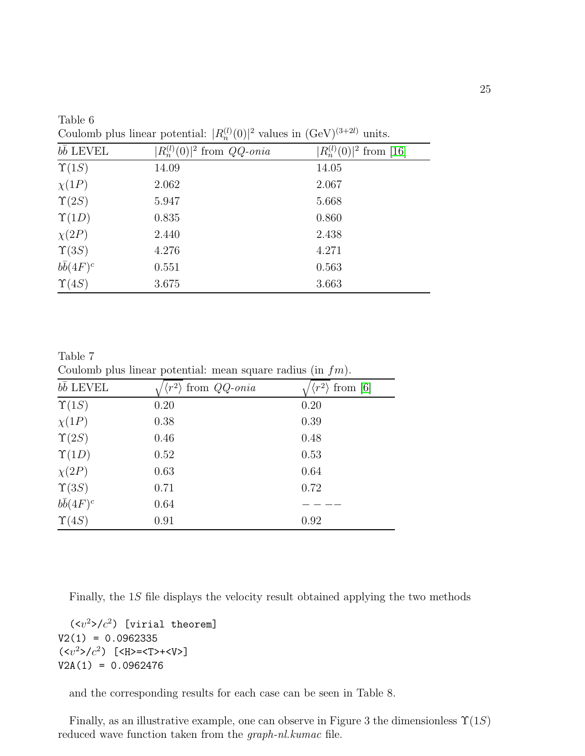| $b\overline{b}$ LEVEL | $ R_n^{(l)}(0) ^2$ from $QQ$ -onia | $ R_n^{(l)}(0) ^2$ from [16] |
|-----------------------|------------------------------------|------------------------------|
| $\Upsilon(1S)$        | 14.09                              | 14.05                        |
| $\chi(1P)$            | 2.062                              | 2.067                        |
| $\Upsilon(2S)$        | 5.947                              | 5.668                        |
| $\Upsilon(1D)$        | 0.835                              | 0.860                        |
| $\chi(2P)$            | 2.440                              | 2.438                        |
| $\Upsilon(3S)$        | 4.276                              | 4.271                        |
| $b\overline{b}(4F)^c$ | 0.551                              | 0.563                        |
| $\Upsilon(4S)$        | 3.675                              | 3.663                        |

Table 6 Coulomb plus linear potential:  $|R_n^{(l)}(0)|^2$  values in  $(GeV)^{(3+2l)}$  units.

Table 7 Coulomb plus linear potential: mean square radius (in  $fm$ ).

| bb LEVEL         | from $QQ$ -onia | $\langle r^2 \rangle$<br>from $[6]$ |
|------------------|-----------------|-------------------------------------|
| $\Upsilon(1S)$   | 0.20            | 0.20                                |
| $\chi(1P)$       | 0.38            | 0.39                                |
| $\Upsilon(2S)$   | 0.46            | 0.48                                |
| $\Upsilon(1D)$   | 0.52            | 0.53                                |
| $\chi(2P)$       | 0.63            | 0.64                                |
| $\Upsilon(3S)$   | 0.71            | 0.72                                |
| $b\bar{b}(4F)^c$ | 0.64            |                                     |
| $\Upsilon(4S)$   | 0.91            | 0.92                                |

Finally, the 1S file displays the velocity result obtained applying the two methods

 $(\langle v^2 \rangle / c^2)$  [virial theorem]  $V2(1) = 0.0962335$  $(\langle v^2 \rangle / c^2)$  [<H>=<T>+<V>] V2A(1) = 0.0962476

and the corresponding results for each case can be seen in Table 8.

Finally, as an illustrative example, one can observe in Figure 3 the dimensionless  $\Upsilon(1S)$ reduced wave function taken from the graph-nl.kumac file.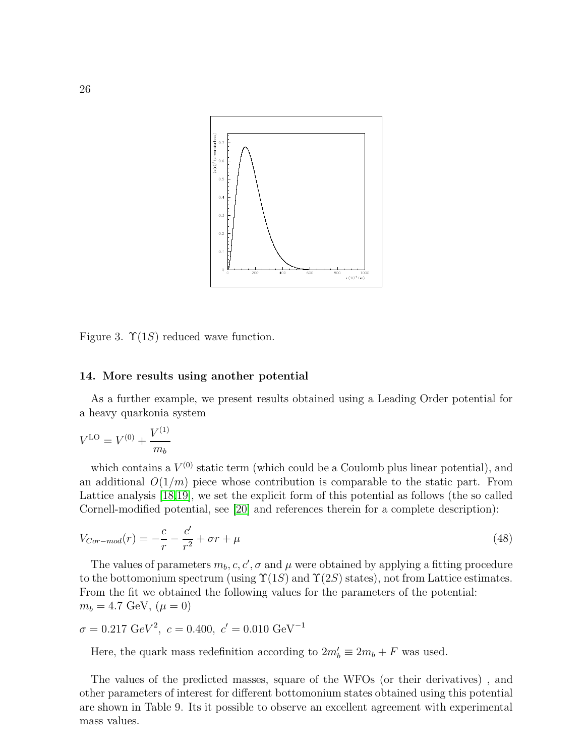

Figure 3.  $\Upsilon(1S)$  reduced wave function.

### <span id="page-25-0"></span>14. More results using another potential

As a further example, we present results obtained using a Leading Order potential for a heavy quarkonia system

$$
V^{\text{LO}} = V^{(0)} + \frac{V^{(1)}}{m_b}
$$

which contains a  $V^{(0)}$  static term (which could be a Coulomb plus linear potential), and an additional  $O(1/m)$  piece whose contribution is comparable to the static part. From Lattice analysis [\[18](#page-29-17)[,19\]](#page-29-18), we set the explicit form of this potential as follows (the so called Cornell-modified potential, see [\[20\]](#page-29-19) and references therein for a complete description):

$$
V_{Cor-mod}(r) = -\frac{c}{r} - \frac{c'}{r^2} + \sigma r + \mu
$$
\n(48)

The values of parameters  $m_b, c, c', \sigma$  and  $\mu$  were obtained by applying a fitting procedure to the bottomonium spectrum (using  $\Upsilon(1S)$  and  $\Upsilon(2S)$  states), not from Lattice estimates. From the fit we obtained the following values for the parameters of the potential:  $m_b = 4.7 \text{ GeV}, (\mu = 0)$ 

$$
\sigma = 0.217 \text{ GeV}^2
$$
,  $c = 0.400$ ,  $c' = 0.010 \text{ GeV}^{-1}$ 

Here, the quark mass redefinition according to  $2m'_b \equiv 2m_b + F$  was used.

The values of the predicted masses, square of the WFOs (or their derivatives) , and other parameters of interest for different bottomonium states obtained using this potential are shown in Table 9. Its it possible to observe an excellent agreement with experimental mass values.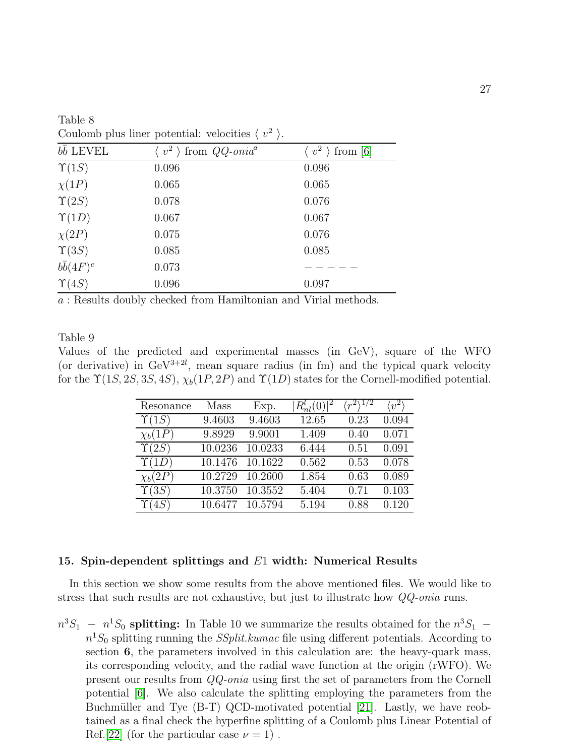| bb LEVEL         | from $QQ$ -onia <sup>a</sup><br>$\langle v^2 \rangle$ | from $[6]$ |
|------------------|-------------------------------------------------------|------------|
| $\Upsilon(1S)$   | 0.096                                                 | 0.096      |
| $\chi(1P)$       | 0.065                                                 | 0.065      |
| $\Upsilon(2S)$   | 0.078                                                 | 0.076      |
| $\Upsilon(1D)$   | 0.067                                                 | 0.067      |
| $\chi(2P)$       | 0.075                                                 | 0.076      |
| $\Upsilon(3S)$   | 0.085                                                 | 0.085      |
| $b\bar{b}(4F)^c$ | 0.073                                                 |            |
| $\Upsilon(4S)$   | 0.096                                                 | 0.097      |

Table 8 Coulomb plus liner potential: velocities  $\langle v^2 \rangle$ .

a : Results doubly checked from Hamiltonian and Virial methods.

### Table 9

Values of the predicted and experimental masses (in GeV), square of the WFO (or derivative) in  $\text{GeV}^{3+2l}$ , mean square radius (in fm) and the typical quark velocity for the  $\Upsilon(1S, 2S, 3S, 4S), \chi_b(1P, 2P)$  and  $\Upsilon(1D)$  states for the Cornell-modified potential.

| Resonance      | Mass    | Exp.    | $ R_{nl}^l(0) ^2$ | $\langle r^2 \rangle^{1/2}$ | $\langle v^2 \rangle$ |
|----------------|---------|---------|-------------------|-----------------------------|-----------------------|
| $\Upsilon(1S)$ | 9.4603  | 9.4603  | 12.65             | 0.23                        | 0.094                 |
| $\chi_b(1P)$   | 9.8929  | 9.9001  | 1.409             | 0.40                        | 0.071                 |
| $\Upsilon(2S)$ | 10.0236 | 10.0233 | 6.444             | 0.51                        | 0.091                 |
| $\Upsilon(1D)$ | 10.1476 | 10.1622 | 0.562             | 0.53                        | 0.078                 |
| $\chi_b(2P)$   | 10.2729 | 10.2600 | 1.854             | 0.63                        | 0.089                 |
| $\Upsilon(3S)$ | 10.3750 | 10.3552 | 5.404             | 0.71                        | 0.103                 |
| $\Upsilon(4S)$ | 10.6477 | 10.5794 | 5.194             | 0.88                        | 0.120                 |

# <span id="page-26-0"></span>15. Spin-dependent splittings and  $E1$  width: Numerical Results

In this section we show some results from the above mentioned files. We would like to stress that such results are not exhaustive, but just to illustrate how QQ-onia runs.

 $n^3S_1 - n^1S_0$  splitting: In Table 10 we summarize the results obtained for the  $n^3S_1$  $n<sup>1</sup>S<sub>0</sub>$  splitting running the *SSplit.kumac* file using different potentials. According to section 6, the parameters involved in this calculation are: the heavy-quark mass, its corresponding velocity, and the radial wave function at the origin (rWFO). We present our results from QQ-onia using first the set of parameters from the Cornell potential [\[6\]](#page-29-5). We also calculate the splitting employing the parameters from the Buchmüller and Tye (B-T) QCD-motivated potential [\[21\]](#page-29-20). Lastly, we have reobtained as a final check the hyperfine splitting of a Coulomb plus Linear Potential of Ref.[\[22\]](#page-29-21) (for the particular case  $\nu = 1$ ).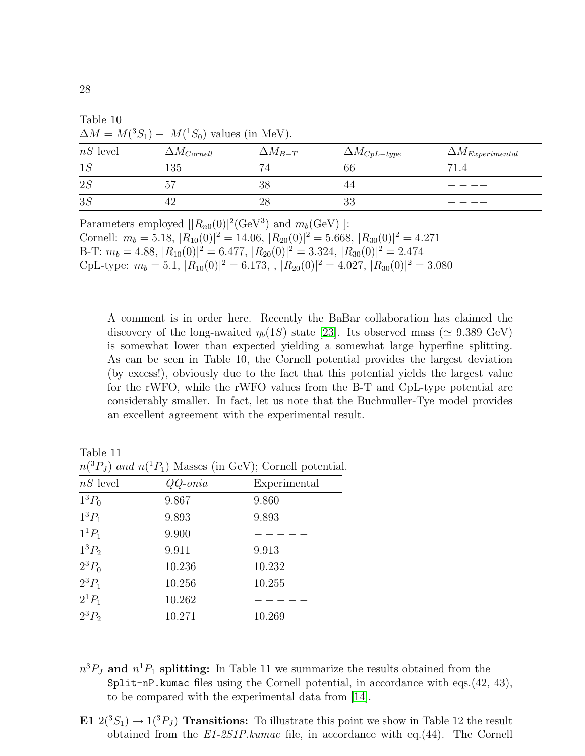| Table 10                                              |                      |                  |                       |                           |  |  |
|-------------------------------------------------------|----------------------|------------------|-----------------------|---------------------------|--|--|
| $\Delta M = M({}^3S_1) - M({}^1S_0)$ values (in MeV). |                      |                  |                       |                           |  |  |
| $nS$ level                                            | $\Delta M_{Cornell}$ | $\Delta M_{B-T}$ | $\Delta M_{CpL-type}$ | $\Delta M_{Experimental}$ |  |  |
| 1S                                                    | 135                  | 74               | 66                    | 71.4                      |  |  |
| 2S                                                    | 57                   | 38               | 44                    |                           |  |  |
| 3S                                                    | 42                   | 28               | 33                    |                           |  |  |
|                                                       |                      |                  |                       |                           |  |  |

Parameters employed  $[|R_{n0}(0)|^2(\text{GeV}^3)$  and  $m_b(\text{GeV})$  ]: Cornell:  $m_b = 5.18$ ,  $|R_{10}(0)|^2 = 14.06$ ,  $|R_{20}(0)|^2 = 5.668$ ,  $|R_{30}(0)|^2 = 4.271$ B-T:  $m_b = 4.88$ ,  $|R_{10}(0)|^2 = 6.477$ ,  $|R_{20}(0)|^2 = 3.324$ ,  $|R_{30}(0)|^2 = 2.474$ CpL-type:  $m_b = 5.1$ ,  $|R_{10}(0)|^2 = 6.173$ ,  $|R_{20}(0)|^2 = 4.027$ ,  $|R_{30}(0)|^2 = 3.080$ 

A comment is in order here. Recently the BaBar collaboration has claimed the discovery of the long-awaited  $\eta_b(1S)$  state [\[23\]](#page-29-22). Its observed mass ( $\simeq 9.389 \text{ GeV}$ ) is somewhat lower than expected yielding a somewhat large hyperfine splitting. As can be seen in Table 10, the Cornell potential provides the largest deviation (by excess!), obviously due to the fact that this potential yields the largest value for the rWFO, while the rWFO values from the B-T and CpL-type potential are considerably smaller. In fact, let us note that the Buchmuller-Tye model provides an excellent agreement with the experimental result.

Table 11  $n(^3P_J)$  and  $n(^1P_1)$  Masses (in GeV); Cornell potential.

| $\frac{n_0}{2}$ $\frac{1}{2}$ $\frac{1}{2}$ $\frac{1}{2}$ $\frac{1}{2}$ $\frac{1}{2}$ $\frac{1}{2}$ $\frac{1}{2}$ $\frac{1}{2}$ $\frac{1}{2}$ $\frac{1}{2}$ $\frac{1}{2}$ $\frac{1}{2}$ $\frac{1}{2}$ $\frac{1}{2}$ $\frac{1}{2}$ $\frac{1}{2}$ $\frac{1}{2}$ $\frac{1}{2}$ $\frac{1}{2}$ $\frac{1}{2}$ $\frac{1}{2}$ |                  |              |  |  |
|-----------------------------------------------------------------------------------------------------------------------------------------------------------------------------------------------------------------------------------------------------------------------------------------------------------------------|------------------|--------------|--|--|
| $nS$ level                                                                                                                                                                                                                                                                                                            | $QQ\text{-}onia$ | Experimental |  |  |
| $1^3P_0$                                                                                                                                                                                                                                                                                                              | 9.867            | 9.860        |  |  |
| $1^3P_1$                                                                                                                                                                                                                                                                                                              | 9.893            | 9.893        |  |  |
| $1^{1}P_{1}$                                                                                                                                                                                                                                                                                                          | 9.900            |              |  |  |
| $1^3P_2$                                                                                                                                                                                                                                                                                                              | 9.911            | 9.913        |  |  |
| $2^3P_0$                                                                                                                                                                                                                                                                                                              | 10.236           | 10.232       |  |  |
| $2^3P_1$                                                                                                                                                                                                                                                                                                              | 10.256           | 10.255       |  |  |
| $2^1P_1$                                                                                                                                                                                                                                                                                                              | 10.262           |              |  |  |
| $2^3P_2$                                                                                                                                                                                                                                                                                                              | 10.271           | 10.269       |  |  |

- $n^3 P_J$  and  $n^1 P_1$  splitting: In Table 11 we summarize the results obtained from the  $Split-nP.kumac$  files using the Cornell potential, in accordance with eqs.(42, 43), to be compared with the experimental data from [\[14\]](#page-29-13).
- E1  $2(^{3}S_{1}) \rightarrow 1(^{3}P_{J})$  Transitions: To illustrate this point we show in Table 12 the result obtained from the E1-2S1P.kumac file, in accordance with eq.(44). The Cornell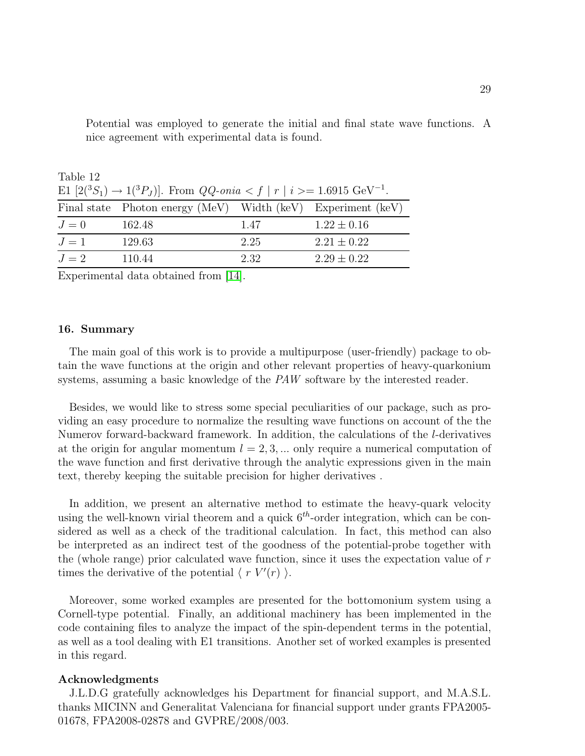| Table 12                                                                                             |                                                              |      |                 |  |  |
|------------------------------------------------------------------------------------------------------|--------------------------------------------------------------|------|-----------------|--|--|
| E1 $[2(^3S_1) \rightarrow 1(^3P_J)]$ . From $QQ$ -onia $\lt f  r  i \gt = 1.6915 \text{ GeV}^{-1}$ . |                                                              |      |                 |  |  |
|                                                                                                      | Final state Photon energy (MeV) Width (keV) Experiment (keV) |      |                 |  |  |
| $J=0$                                                                                                | 162.48                                                       | 1.47 | $1.22 \pm 0.16$ |  |  |
| $J=1$                                                                                                | 129.63                                                       | 2.25 | $2.21 \pm 0.22$ |  |  |
| $J=2$                                                                                                | 110.44                                                       | 2.32 | $2.29 \pm 0.22$ |  |  |

Potential was employed to generate the initial and final state wave functions. A nice agreement with experimental data is found.

Experimental data obtained from [\[14\]](#page-29-13).

### <span id="page-28-0"></span>16. Summary

The main goal of this work is to provide a multipurpose (user-friendly) package to obtain the wave functions at the origin and other relevant properties of heavy-quarkonium systems, assuming a basic knowledge of the PAW software by the interested reader.

Besides, we would like to stress some special peculiarities of our package, such as providing an easy procedure to normalize the resulting wave functions on account of the the Numerov forward-backward framework. In addition, the calculations of the l-derivatives at the origin for angular momentum  $l = 2, 3, \dots$  only require a numerical computation of the wave function and first derivative through the analytic expressions given in the main text, thereby keeping the suitable precision for higher derivatives .

In addition, we present an alternative method to estimate the heavy-quark velocity using the well-known virial theorem and a quick  $6<sup>th</sup>$ -order integration, which can be considered as well as a check of the traditional calculation. In fact, this method can also be interpreted as an indirect test of the goodness of the potential-probe together with the (whole range) prior calculated wave function, since it uses the expectation value of  $r$ times the derivative of the potential  $\langle r V' (r) \rangle$ .

Moreover, some worked examples are presented for the bottomonium system using a Cornell-type potential. Finally, an additional machinery has been implemented in the code containing files to analyze the impact of the spin-dependent terms in the potential, as well as a tool dealing with E1 transitions. Another set of worked examples is presented in this regard.

### Acknowledgments

J.L.D.G gratefully acknowledges his Department for financial support, and M.A.S.L. thanks MICINN and Generalitat Valenciana for financial support under grants FPA2005- 01678, FPA2008-02878 and GVPRE/2008/003.